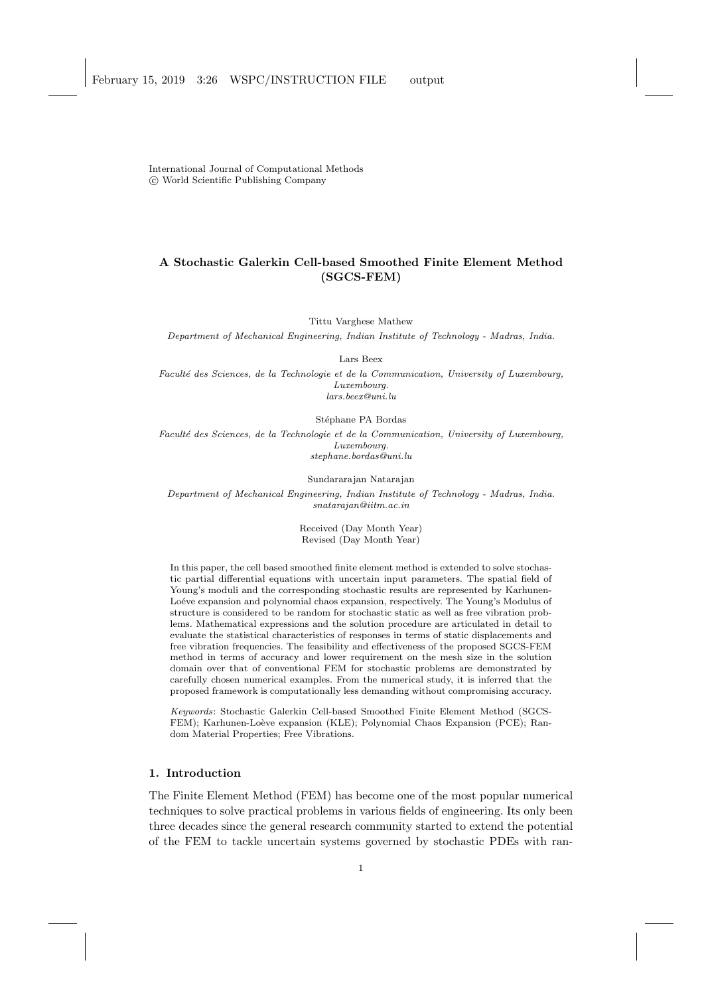International Journal of Computational Methods c World Scientific Publishing Company

# A Stochastic Galerkin Cell-based Smoothed Finite Element Method (SGCS-FEM)

Tittu Varghese Mathew

Department of Mechanical Engineering, Indian Institute of Technology - Madras, India.

Lars Beex

Faculté des Sciences, de la Technologie et de la Communication, University of Luxembourg, Luxembourg. lars.beex@uni.lu

Stéphane PA Bordas

Faculté des Sciences, de la Technologie et de la Communication, University of Luxembourg, Luxembourg. stephane.bordas@uni.lu

Sundararajan Natarajan

Department of Mechanical Engineering, Indian Institute of Technology - Madras, India. snatarajan@iitm.ac.in

> Received (Day Month Year) Revised (Day Month Year)

In this paper, the cell based smoothed finite element method is extended to solve stochastic partial differential equations with uncertain input parameters. The spatial field of Young's moduli and the corresponding stochastic results are represented by Karhunen-Loéve expansion and polynomial chaos expansion, respectively. The Young's Modulus of structure is considered to be random for stochastic static as well as free vibration problems. Mathematical expressions and the solution procedure are articulated in detail to evaluate the statistical characteristics of responses in terms of static displacements and free vibration frequencies. The feasibility and effectiveness of the proposed SGCS-FEM method in terms of accuracy and lower requirement on the mesh size in the solution domain over that of conventional FEM for stochastic problems are demonstrated by carefully chosen numerical examples. From the numerical study, it is inferred that the proposed framework is computationally less demanding without compromising accuracy.

Keywords: Stochastic Galerkin Cell-based Smoothed Finite Element Method (SGCS-FEM); Karhunen-Loève expansion (KLE); Polynomial Chaos Expansion (PCE); Random Material Properties; Free Vibrations.

# 1. Introduction

The Finite Element Method (FEM) has become one of the most popular numerical techniques to solve practical problems in various fields of engineering. Its only been three decades since the general research community started to extend the potential of the FEM to tackle uncertain systems governed by stochastic PDEs with ran-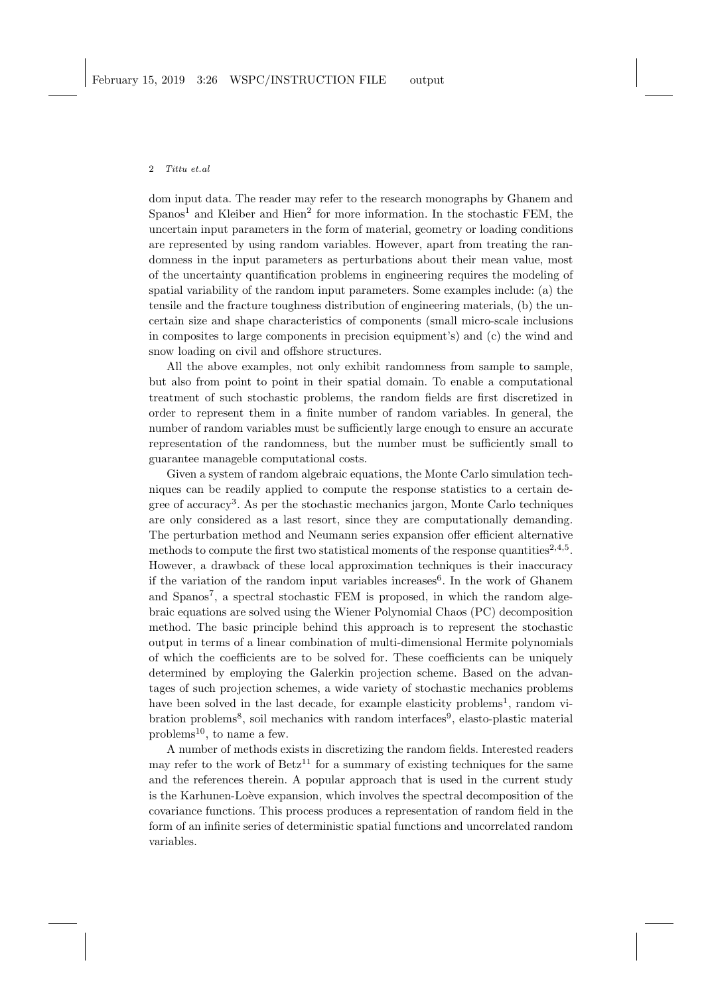dom input data. The reader may refer to the research monographs by Ghanem and Spanos<sup>1</sup> and Kleiber and Hien<sup>2</sup> for more information. In the stochastic FEM, the uncertain input parameters in the form of material, geometry or loading conditions are represented by using random variables. However, apart from treating the randomness in the input parameters as perturbations about their mean value, most of the uncertainty quantification problems in engineering requires the modeling of spatial variability of the random input parameters. Some examples include: (a) the tensile and the fracture toughness distribution of engineering materials, (b) the uncertain size and shape characteristics of components (small micro-scale inclusions in composites to large components in precision equipment's) and (c) the wind and snow loading on civil and offshore structures.

All the above examples, not only exhibit randomness from sample to sample, but also from point to point in their spatial domain. To enable a computational treatment of such stochastic problems, the random fields are first discretized in order to represent them in a finite number of random variables. In general, the number of random variables must be sufficiently large enough to ensure an accurate representation of the randomness, but the number must be sufficiently small to guarantee manageble computational costs.

Given a system of random algebraic equations, the Monte Carlo simulation techniques can be readily applied to compute the response statistics to a certain degree of accuracy<sup>3</sup>. As per the stochastic mechanics jargon, Monte Carlo techniques are only considered as a last resort, since they are computationally demanding. The perturbation method and Neumann series expansion offer efficient alternative methods to compute the first two statistical moments of the response quantities<sup>2,4,5</sup>. However, a drawback of these local approximation techniques is their inaccuracy if the variation of the random input variables increases<sup>6</sup>. In the work of Ghanem and Spanos<sup>7</sup>, a spectral stochastic FEM is proposed, in which the random algebraic equations are solved using the Wiener Polynomial Chaos (PC) decomposition method. The basic principle behind this approach is to represent the stochastic output in terms of a linear combination of multi-dimensional Hermite polynomials of which the coefficients are to be solved for. These coefficients can be uniquely determined by employing the Galerkin projection scheme. Based on the advantages of such projection schemes, a wide variety of stochastic mechanics problems have been solved in the last decade, for example elasticity problems<sup>1</sup>, random vibration problems<sup>8</sup>, soil mechanics with random interfaces<sup>9</sup>, elasto-plastic material problems<sup>10</sup>, to name a few.

A number of methods exists in discretizing the random fields. Interested readers may refer to the work of  $Betz^{11}$  for a summary of existing techniques for the same and the references therein. A popular approach that is used in the current study is the Karhunen-Loève expansion, which involves the spectral decomposition of the covariance functions. This process produces a representation of random field in the form of an infinite series of deterministic spatial functions and uncorrelated random variables.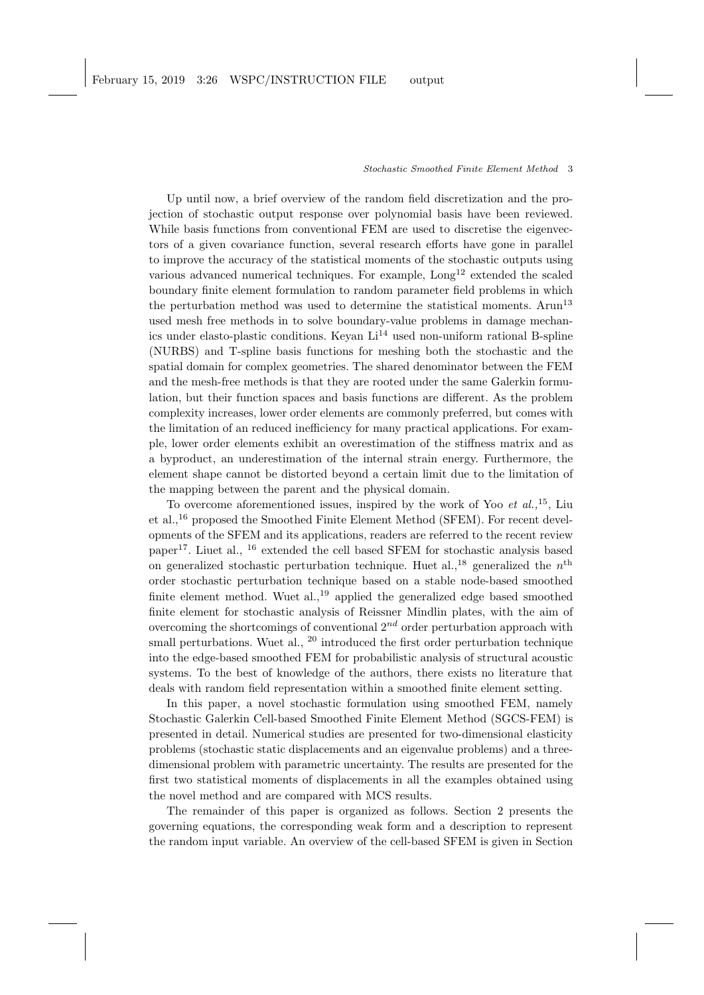Up until now, a brief overview of the random field discretization and the projection of stochastic output response over polynomial basis have been reviewed. While basis functions from conventional FEM are used to discretise the eigenvectors of a given covariance function, several research efforts have gone in parallel to improve the accuracy of the statistical moments of the stochastic outputs using various advanced numerical techniques. For example,  $\text{Long}^{12}$  extended the scaled boundary finite element formulation to random parameter field problems in which the perturbation method was used to determine the statistical moments. Arun<sup>13</sup> used mesh free methods in to solve boundary-value problems in damage mechanics under elasto-plastic conditions. Keyan  $Li<sup>14</sup>$  used non-uniform rational B-spline (NURBS) and T-spline basis functions for meshing both the stochastic and the spatial domain for complex geometries. The shared denominator between the FEM and the mesh-free methods is that they are rooted under the same Galerkin formulation, but their function spaces and basis functions are different. As the problem complexity increases, lower order elements are commonly preferred, but comes with the limitation of an reduced inefficiency for many practical applications. For example, lower order elements exhibit an overestimation of the stiffness matrix and as a byproduct, an underestimation of the internal strain energy. Furthermore, the element shape cannot be distorted beyond a certain limit due to the limitation of the mapping between the parent and the physical domain.

To overcome aforementioned issues, inspired by the work of Yoo  $et \ al.,<sup>15</sup>$ , Liu et al.,<sup>16</sup> proposed the Smoothed Finite Element Method (SFEM). For recent developments of the SFEM and its applications, readers are referred to the recent review paper17. Liuet al., <sup>16</sup> extended the cell based SFEM for stochastic analysis based on generalized stochastic perturbation technique. Huet al.,<sup>18</sup> generalized the  $n<sup>th</sup>$ order stochastic perturbation technique based on a stable node-based smoothed finite element method. Wuet  $al$ ,  $^{19}$  applied the generalized edge based smoothed finite element for stochastic analysis of Reissner Mindlin plates, with the aim of overcoming the shortcomings of conventional  $2^{nd}$  order perturbation approach with small perturbations. Wuet al.,  $^{20}$  introduced the first order perturbation technique into the edge-based smoothed FEM for probabilistic analysis of structural acoustic systems. To the best of knowledge of the authors, there exists no literature that deals with random field representation within a smoothed finite element setting.

In this paper, a novel stochastic formulation using smoothed FEM, namely Stochastic Galerkin Cell-based Smoothed Finite Element Method (SGCS-FEM) is presented in detail. Numerical studies are presented for two-dimensional elasticity problems (stochastic static displacements and an eigenvalue problems) and a threedimensional problem with parametric uncertainty. The results are presented for the first two statistical moments of displacements in all the examples obtained using the novel method and are compared with MCS results.

The remainder of this paper is organized as follows. Section 2 presents the governing equations, the corresponding weak form and a description to represent the random input variable. An overview of the cell-based SFEM is given in Section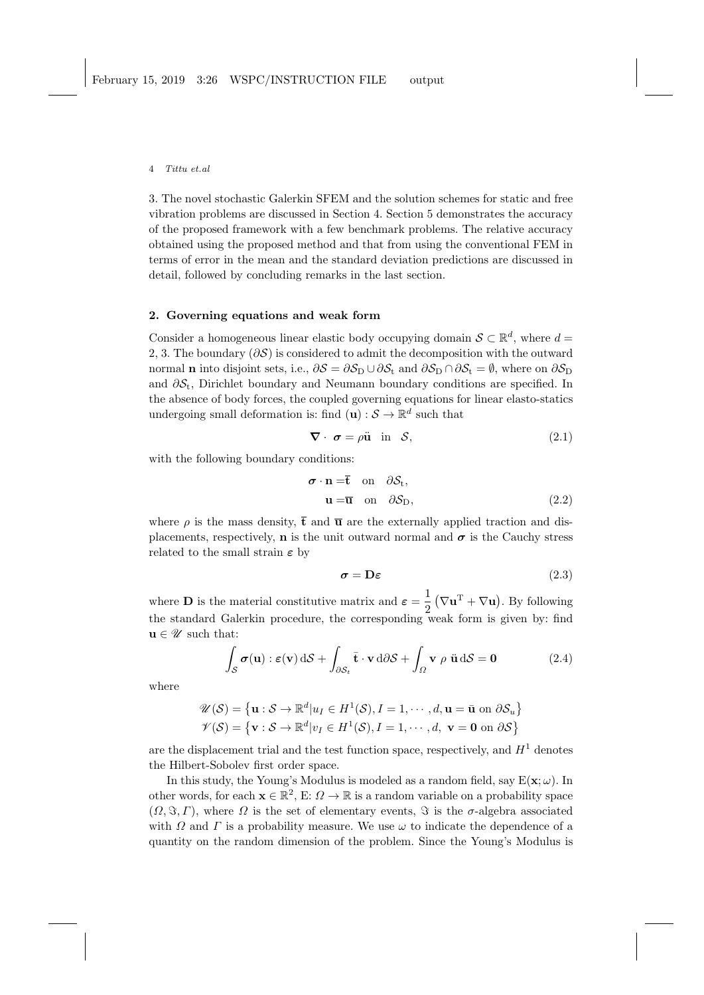3. The novel stochastic Galerkin SFEM and the solution schemes for static and free vibration problems are discussed in Section 4. Section 5 demonstrates the accuracy of the proposed framework with a few benchmark problems. The relative accuracy obtained using the proposed method and that from using the conventional FEM in terms of error in the mean and the standard deviation predictions are discussed in detail, followed by concluding remarks in the last section.

## 2. Governing equations and weak form

Consider a homogeneous linear elastic body occupying domain  $S \subset \mathbb{R}^d$ , where  $d =$ 2, 3. The boundary ( $\partial S$ ) is considered to admit the decomposition with the outward normal **n** into disjoint sets, i.e.,  $\partial S = \partial S_{\text{D}} \cup \partial S_{\text{t}}$  and  $\partial S_{\text{D}} \cap \partial S_{\text{t}} = \emptyset$ , where on  $\partial S_{\text{D}}$ and  $\partial \mathcal{S}_t$ , Dirichlet boundary and Neumann boundary conditions are specified. In the absence of body forces, the coupled governing equations for linear elasto-statics undergoing small deformation is: find  $(\mathbf{u}): \mathcal{S} \to \mathbb{R}^d$  such that

$$
\nabla \cdot \boldsymbol{\sigma} = \rho \ddot{\mathbf{u}} \quad \text{in} \quad \mathcal{S}, \tag{2.1}
$$

with the following boundary conditions:

$$
\boldsymbol{\sigma} \cdot \mathbf{n} = \mathbf{\bar{t}} \quad \text{on} \quad \partial \mathcal{S}_t, \mathbf{u} = \mathbf{\bar{u}} \quad \text{on} \quad \partial \mathcal{S}_D,
$$
\n(2.2)

where  $\rho$  is the mass density,  $\bar{t}$  and  $\bar{u}$  are the externally applied traction and displacements, respectively, **n** is the unit outward normal and  $\sigma$  is the Cauchy stress related to the small strain  $\varepsilon$  by

$$
\sigma = D\varepsilon \tag{2.3}
$$

where **D** is the material constitutive matrix and  $\varepsilon = \frac{1}{2}$  $\frac{1}{2} (\nabla \mathbf{u}^{\mathrm{T}} + \nabla \mathbf{u}).$  By following the standard Galerkin procedure, the corresponding weak form is given by: find  $\mathbf{u} \in \mathscr{U}$  such that:

$$
\int_{\mathcal{S}} \boldsymbol{\sigma}(\mathbf{u}) : \boldsymbol{\varepsilon}(\mathbf{v}) \, d\mathcal{S} + \int_{\partial \mathcal{S}_t} \bar{\mathbf{t}} \cdot \mathbf{v} \, d\partial \mathcal{S} + \int_{\Omega} \mathbf{v} \, \rho \, \ddot{\mathbf{u}} \, d\mathcal{S} = \mathbf{0} \tag{2.4}
$$

where

$$
\mathscr{U}(\mathcal{S}) = \{ \mathbf{u} : \mathcal{S} \to \mathbb{R}^d | u_I \in H^1(\mathcal{S}), I = 1, \cdots, d, \mathbf{u} = \bar{\mathbf{u}} \text{ on } \partial \mathcal{S}_u \}
$$
  

$$
\mathscr{V}(\mathcal{S}) = \{ \mathbf{v} : \mathcal{S} \to \mathbb{R}^d | v_I \in H^1(\mathcal{S}), I = 1, \cdots, d, \mathbf{v} = \mathbf{0} \text{ on } \partial \mathcal{S} \}
$$

are the displacement trial and the test function space, respectively, and  $H<sup>1</sup>$  denotes the Hilbert-Sobolev first order space.

In this study, the Young's Modulus is modeled as a random field, say  $E(\mathbf{x}; \omega)$ . In other words, for each  $\mathbf{x} \in \mathbb{R}^2$ , E:  $\Omega \to \mathbb{R}$  is a random variable on a probability space  $(\Omega, \Im, \Gamma)$ , where  $\Omega$  is the set of elementary events,  $\Im$  is the  $\sigma$ -algebra associated with  $\Omega$  and  $\Gamma$  is a probability measure. We use  $\omega$  to indicate the dependence of a quantity on the random dimension of the problem. Since the Young's Modulus is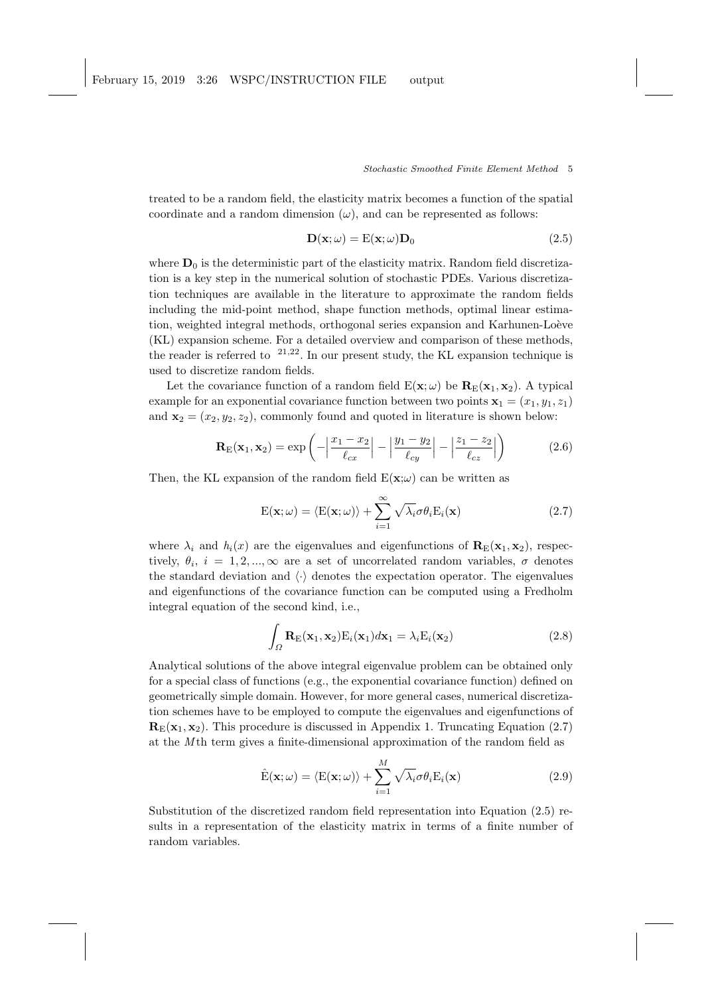treated to be a random field, the elasticity matrix becomes a function of the spatial coordinate and a random dimension  $(\omega)$ , and can be represented as follows:

$$
\mathbf{D}(\mathbf{x};\omega) = \mathbf{E}(\mathbf{x};\omega)\mathbf{D}_0
$$
\n(2.5)

where  $D_0$  is the deterministic part of the elasticity matrix. Random field discretization is a key step in the numerical solution of stochastic PDEs. Various discretization techniques are available in the literature to approximate the random fields including the mid-point method, shape function methods, optimal linear estimation, weighted integral methods, orthogonal series expansion and Karhunen-Loève (KL) expansion scheme. For a detailed overview and comparison of these methods, the reader is referred to  $2^{1,22}$ . In our present study, the KL expansion technique is used to discretize random fields.

Let the covariance function of a random field  $E(\mathbf{x}; \omega)$  be  $\mathbf{R}_{E}(\mathbf{x}_1, \mathbf{x}_2)$ . A typical example for an exponential covariance function between two points  $x_1 = (x_1, y_1, z_1)$ and  $\mathbf{x}_2 = (x_2, y_2, z_2)$ , commonly found and quoted in literature is shown below:

$$
\mathbf{R}_{\mathrm{E}}(\mathbf{x}_1, \mathbf{x}_2) = \exp\left(-\left|\frac{x_1 - x_2}{\ell_{cx}}\right| - \left|\frac{y_1 - y_2}{\ell_{cy}}\right| - \left|\frac{z_1 - z_2}{\ell_{cz}}\right|\right) \tag{2.6}
$$

Then, the KL expansion of the random field  $E(\mathbf{x};\omega)$  can be written as

$$
E(\mathbf{x};\omega) = \langle E(\mathbf{x};\omega) \rangle + \sum_{i=1}^{\infty} \sqrt{\lambda_i} \sigma \theta_i E_i(\mathbf{x})
$$
\n(2.7)

where  $\lambda_i$  and  $h_i(x)$  are the eigenvalues and eigenfunctions of  $\mathbf{R}_{\text{E}}(\mathbf{x}_1, \mathbf{x}_2)$ , respectively,  $\theta_i$ ,  $i = 1, 2, ..., \infty$  are a set of uncorrelated random variables,  $\sigma$  denotes the standard deviation and  $\langle \cdot \rangle$  denotes the expectation operator. The eigenvalues and eigenfunctions of the covariance function can be computed using a Fredholm integral equation of the second kind, i.e.,

$$
\int_{\Omega} \mathbf{R}_{\mathrm{E}}(\mathbf{x}_{1}, \mathbf{x}_{2}) \mathrm{E}_{i}(\mathbf{x}_{1}) d\mathbf{x}_{1} = \lambda_{i} \mathrm{E}_{i}(\mathbf{x}_{2})
$$
\n(2.8)

Analytical solutions of the above integral eigenvalue problem can be obtained only for a special class of functions (e.g., the exponential covariance function) defined on geometrically simple domain. However, for more general cases, numerical discretization schemes have to be employed to compute the eigenvalues and eigenfunctions of  $\mathbf{R}_{\text{E}}(\mathbf{x}_1, \mathbf{x}_2)$ . This procedure is discussed in Appendix 1. Truncating Equation (2.7) at the M<sub>th</sub> term gives a finite-dimensional approximation of the random field as

$$
\hat{\mathbf{E}}(\mathbf{x};\omega) = \langle \mathbf{E}(\mathbf{x};\omega) \rangle + \sum_{i=1}^{M} \sqrt{\lambda_i} \sigma \theta_i \mathbf{E}_i(\mathbf{x})
$$
\n(2.9)

Substitution of the discretized random field representation into Equation (2.5) results in a representation of the elasticity matrix in terms of a finite number of random variables.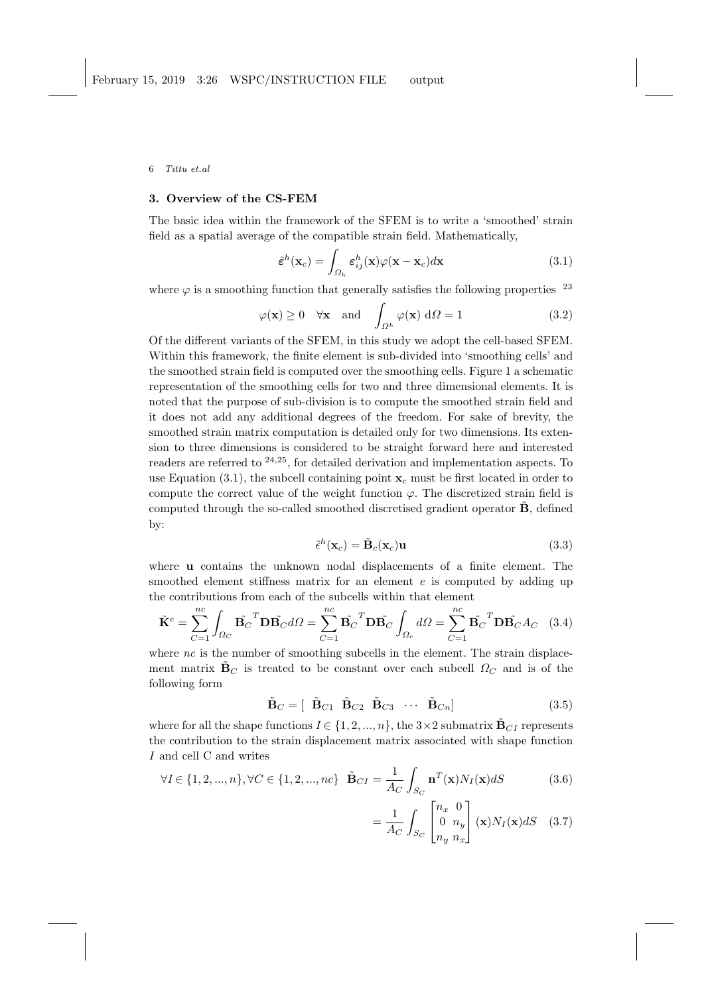## 3. Overview of the CS-FEM

The basic idea within the framework of the SFEM is to write a 'smoothed' strain field as a spatial average of the compatible strain field. Mathematically,

$$
\tilde{\epsilon}^{h}(\mathbf{x}_{c}) = \int_{\Omega_{h}} \epsilon_{ij}^{h}(\mathbf{x}) \varphi(\mathbf{x} - \mathbf{x}_{c}) d\mathbf{x}
$$
\n(3.1)

where  $\varphi$  is a smoothing function that generally satisfies the following properties  $^{23}$ 

$$
\varphi(\mathbf{x}) \ge 0 \quad \forall \mathbf{x} \quad \text{and} \quad \int_{\Omega^h} \varphi(\mathbf{x}) \, d\Omega = 1
$$
\n(3.2)

Of the different variants of the SFEM, in this study we adopt the cell-based SFEM. Within this framework, the finite element is sub-divided into 'smoothing cells' and the smoothed strain field is computed over the smoothing cells. Figure 1 a schematic representation of the smoothing cells for two and three dimensional elements. It is noted that the purpose of sub-division is to compute the smoothed strain field and it does not add any additional degrees of the freedom. For sake of brevity, the smoothed strain matrix computation is detailed only for two dimensions. Its extension to three dimensions is considered to be straight forward here and interested readers are referred to <sup>24</sup>,25, for detailed derivation and implementation aspects. To use Equation (3.1), the subcell containing point  $x_c$  must be first located in order to compute the correct value of the weight function  $\varphi$ . The discretized strain field is computed through the so-called smoothed discretised gradient operator  $\tilde{\mathbf{B}}$ , defined by:

$$
\tilde{\epsilon}^h(\mathbf{x}_c) = \tilde{\mathbf{B}}_c(\mathbf{x}_c)\mathbf{u}
$$
\n(3.3)

where u contains the unknown nodal displacements of a finite element. The smoothed element stiffness matrix for an element  $e$  is computed by adding up the contributions from each of the subcells within that element

$$
\tilde{\mathbf{K}}^e = \sum_{C=1}^{nc} \int_{\Omega_C} \tilde{\mathbf{B}_C}^T \mathbf{D} \tilde{\mathbf{B}_C} d\Omega = \sum_{C=1}^{nc} \tilde{\mathbf{B}_C}^T \mathbf{D} \tilde{\mathbf{B}_C} \int_{\Omega_c} d\Omega = \sum_{C=1}^{nc} \tilde{\mathbf{B}_C}^T \mathbf{D} \tilde{\mathbf{B}_C} A_C \quad (3.4)
$$

where  $nc$  is the number of smoothing subcells in the element. The strain displacement matrix  $\mathbf{B}_C$  is treated to be constant over each subcell  $\Omega_C$  and is of the following form

$$
\tilde{\mathbf{B}}_C = \left[ \begin{array}{cccc} \tilde{\mathbf{B}}_{C1} & \tilde{\mathbf{B}}_{C2} & \tilde{\mathbf{B}}_{C3} & \cdots & \tilde{\mathbf{B}}_{Cn} \end{array} \right] \tag{3.5}
$$

where for all the shape functions  $I \in \{1, 2, ..., n\}$ , the  $3 \times 2$  submatrix  $\mathbf{B}_{CI}$  represents the contribution to the strain displacement matrix associated with shape function I and cell C and writes

$$
\forall I \in \{1, 2, ..., n\}, \forall C \in \{1, 2, ..., nc\} \quad \tilde{\mathbf{B}}_{CI} = \frac{1}{A_C} \int_{S_C} \mathbf{n}^T(\mathbf{x}) N_I(\mathbf{x}) dS \tag{3.6}
$$

$$
= \frac{1}{A_C} \int_{S_C} \begin{bmatrix} n_x & 0\\ 0 & n_y\\ n_y & n_x \end{bmatrix} (\mathbf{x}) N_I(\mathbf{x}) dS \quad (3.7)
$$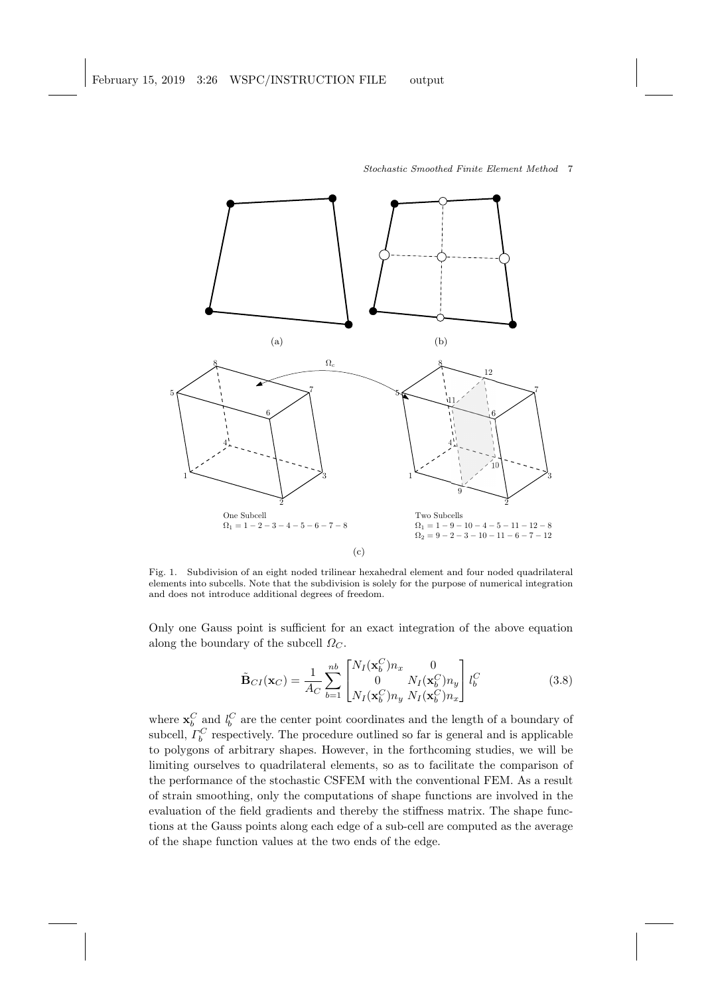

Fig. 1. Subdivision of an eight noded trilinear hexahedral element and four noded quadrilateral elements into subcells. Note that the subdivision is solely for the purpose of numerical integration and does not introduce additional degrees of freedom.

Only one Gauss point is sufficient for an exact integration of the above equation along the boundary of the subcell  $\Omega_{C}$ .

$$
\tilde{\mathbf{B}}_{CI}(\mathbf{x}_C) = \frac{1}{A_C} \sum_{b=1}^{nb} \begin{bmatrix} N_I(\mathbf{x}_b^C) n_x & 0\\ 0 & N_I(\mathbf{x}_b^C) n_y\\ N_I(\mathbf{x}_b^C) n_y & N_I(\mathbf{x}_b^C) n_x \end{bmatrix} l_b^C
$$
(3.8)

where  $\mathbf{x}_b^C$  and  $l_b^C$  are the center point coordinates and the length of a boundary of subcell,  $\Gamma_b^C$  respectively. The procedure outlined so far is general and is applicable to polygons of arbitrary shapes. However, in the forthcoming studies, we will be limiting ourselves to quadrilateral elements, so as to facilitate the comparison of the performance of the stochastic CSFEM with the conventional FEM. As a result of strain smoothing, only the computations of shape functions are involved in the evaluation of the field gradients and thereby the stiffness matrix. The shape functions at the Gauss points along each edge of a sub-cell are computed as the average of the shape function values at the two ends of the edge.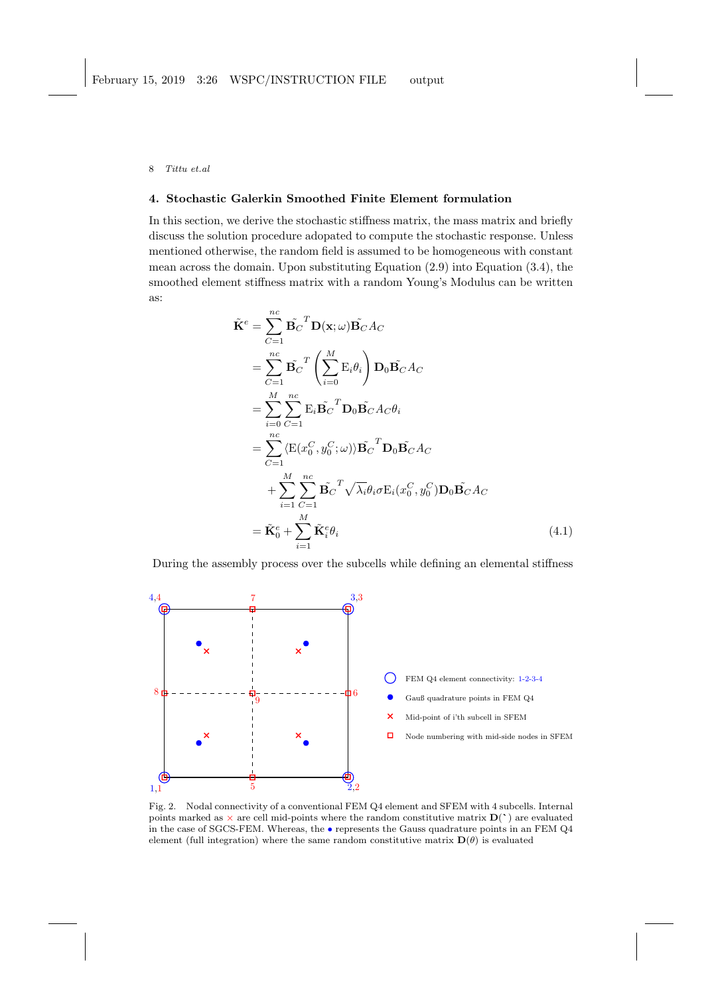## 4. Stochastic Galerkin Smoothed Finite Element formulation

In this section, we derive the stochastic stiffness matrix, the mass matrix and briefly discuss the solution procedure adopated to compute the stochastic response. Unless mentioned otherwise, the random field is assumed to be homogeneous with constant mean across the domain. Upon substituting Equation (2.9) into Equation (3.4), the smoothed element stiffness matrix with a random Young's Modulus can be written as:

$$
\tilde{\mathbf{K}}^{e} = \sum_{C=1}^{nc} \tilde{\mathbf{B}}_{C}^{T} \mathbf{D}(\mathbf{x}; \omega) \tilde{\mathbf{B}}_{C} A_{C} \n= \sum_{C=1}^{nc} \tilde{\mathbf{B}}_{C}^{T} \left( \sum_{i=0}^{M} \mathbf{E}_{i} \theta_{i} \right) \mathbf{D}_{0} \tilde{\mathbf{B}}_{C} A_{C} \n= \sum_{i=0}^{M} \sum_{C=1}^{nc} \mathbf{E}_{i} \tilde{\mathbf{B}}_{C}^{T} \mathbf{D}_{0} \tilde{\mathbf{B}}_{C} A_{C} \theta_{i} \n= \sum_{C=1}^{nc} \langle \mathbf{E}(x_{0}^{C}, y_{0}^{C}; \omega) \rangle \tilde{\mathbf{B}}_{C}^{T} \mathbf{D}_{0} \tilde{\mathbf{B}}_{C} A_{C} \n+ \sum_{i=1}^{M} \sum_{C=1}^{nc} \tilde{\mathbf{B}}_{C}^{T} \sqrt{\lambda_{i}} \theta_{i} \sigma \mathbf{E}_{i} (x_{0}^{C}, y_{0}^{C}) \mathbf{D}_{0} \tilde{\mathbf{B}}_{C} A_{C} \n= \tilde{\mathbf{K}}_{0}^{e} + \sum_{i=1}^{M} \tilde{\mathbf{K}}_{i}^{e} \theta_{i}
$$
\n(4.1)

During the assembly process over the subcells while defining an elemental stiffness



Fig. 2. Nodal connectivity of a conventional FEM Q4 element and SFEM with 4 subcells. Internal points marked as  $\times$  are cell mid-points where the random constitutive matrix  $D(')$  are evaluated in the case of SGCS-FEM. Whereas, the • represents the Gauss quadrature points in an FEM Q4 element (full integration) where the same random constitutive matrix  $\mathbf{D}(\theta)$  is evaluated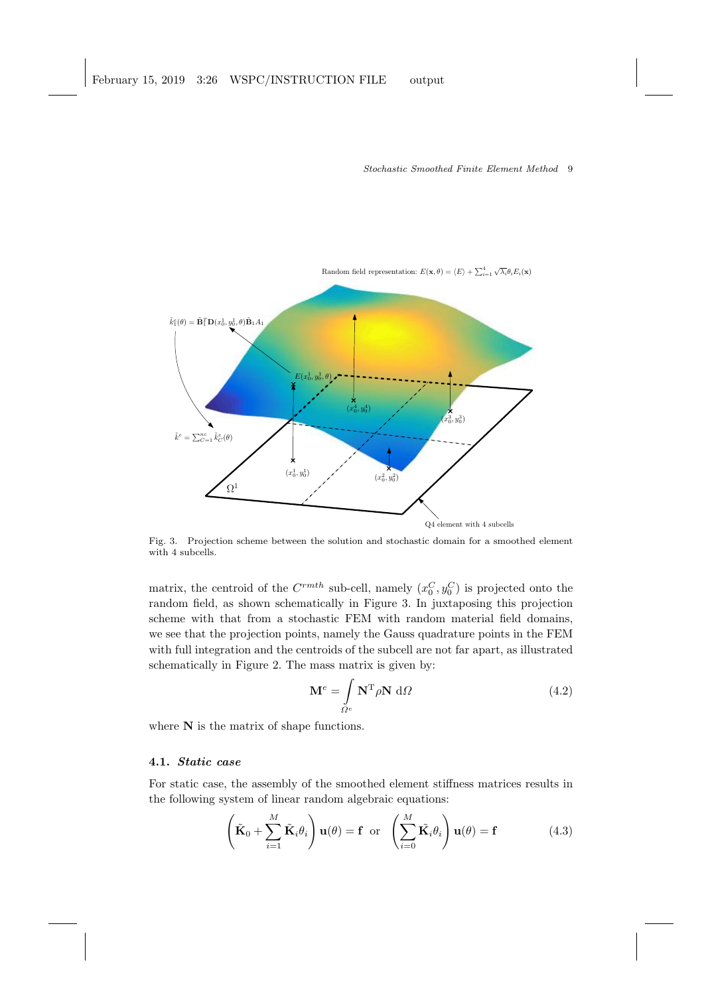

Fig. 3. Projection scheme between the solution and stochastic domain for a smoothed element with 4 subcells.

matrix, the centroid of the  $C^{rmth}$  sub-cell, namely  $(x_0^C, y_0^C)$  is projected onto the random field, as shown schematically in Figure 3. In juxtaposing this projection scheme with that from a stochastic FEM with random material field domains, we see that the projection points, namely the Gauss quadrature points in the FEM with full integration and the centroids of the subcell are not far apart, as illustrated schematically in Figure 2. The mass matrix is given by:

$$
\mathbf{M}^e = \int_{\Omega^e} \mathbf{N}^{\mathrm{T}} \rho \mathbf{N} \, \mathrm{d}\Omega \tag{4.2}
$$

where  $N$  is the matrix of shape functions.

## 4.1. Static case

For static case, the assembly of the smoothed element stiffness matrices results in the following system of linear random algebraic equations:

$$
\left(\tilde{\mathbf{K}}_0 + \sum_{i=1}^M \tilde{\mathbf{K}}_i \theta_i\right) \mathbf{u}(\theta) = \mathbf{f} \text{ or } \left(\sum_{i=0}^M \tilde{\mathbf{K}}_i \theta_i\right) \mathbf{u}(\theta) = \mathbf{f}
$$
 (4.3)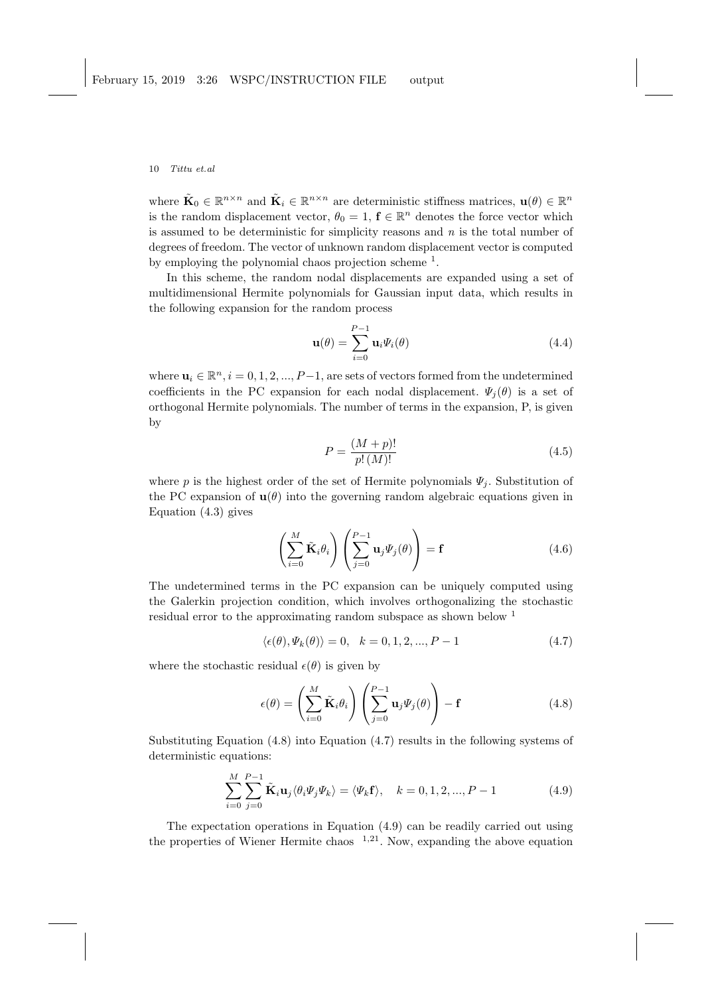where  $\tilde{\mathbf{K}}_0 \in \mathbb{R}^{n \times n}$  and  $\tilde{\mathbf{K}}_i \in \mathbb{R}^{n \times n}$  are deterministic stiffness matrices,  $\mathbf{u}(\theta) \in \mathbb{R}^n$ is the random displacement vector,  $\theta_0 = 1$ ,  $f \in \mathbb{R}^n$  denotes the force vector which is assumed to be deterministic for simplicity reasons and  $n$  is the total number of degrees of freedom. The vector of unknown random displacement vector is computed by employing the polynomial chaos projection scheme <sup>1</sup>.

In this scheme, the random nodal displacements are expanded using a set of multidimensional Hermite polynomials for Gaussian input data, which results in the following expansion for the random process

$$
\mathbf{u}(\theta) = \sum_{i=0}^{P-1} \mathbf{u}_i \Psi_i(\theta)
$$
 (4.4)

where  $u_i \in \mathbb{R}^n$ ,  $i = 0, 1, 2, ..., P-1$ , are sets of vectors formed from the undetermined coefficients in the PC expansion for each nodal displacement.  $\Psi_i(\theta)$  is a set of orthogonal Hermite polynomials. The number of terms in the expansion, P, is given by

$$
P = \frac{(M+p)!}{p!(M)!}
$$
\n(4.5)

where p is the highest order of the set of Hermite polynomials  $\Psi_i$ . Substitution of the PC expansion of  $\mathbf{u}(\theta)$  into the governing random algebraic equations given in Equation (4.3) gives

$$
\left(\sum_{i=0}^{M} \tilde{\mathbf{K}}_{i} \theta_{i}\right) \left(\sum_{j=0}^{P-1} \mathbf{u}_{j} \Psi_{j}(\theta)\right) = \mathbf{f}
$$
\n(4.6)

The undetermined terms in the PC expansion can be uniquely computed using the Galerkin projection condition, which involves orthogonalizing the stochastic residual error to the approximating random subspace as shown below <sup>1</sup>

$$
\langle \epsilon(\theta), \Psi_k(\theta) \rangle = 0, \quad k = 0, 1, 2, \dots, P - 1 \tag{4.7}
$$

where the stochastic residual  $\epsilon(\theta)$  is given by

$$
\epsilon(\theta) = \left(\sum_{i=0}^{M} \tilde{\mathbf{K}}_{i} \theta_{i}\right) \left(\sum_{j=0}^{P-1} \mathbf{u}_{j} \Psi_{j}(\theta)\right) - \mathbf{f}
$$
\n(4.8)

Substituting Equation (4.8) into Equation (4.7) results in the following systems of deterministic equations:

$$
\sum_{i=0}^{M} \sum_{j=0}^{P-1} \tilde{\mathbf{K}}_i \mathbf{u}_j \langle \theta_i \Psi_j \Psi_k \rangle = \langle \Psi_k \mathbf{f} \rangle, \quad k = 0, 1, 2, ..., P-1
$$
 (4.9)

The expectation operations in Equation (4.9) can be readily carried out using the properties of Wiener Hermite chaos  $1,21$ . Now, expanding the above equation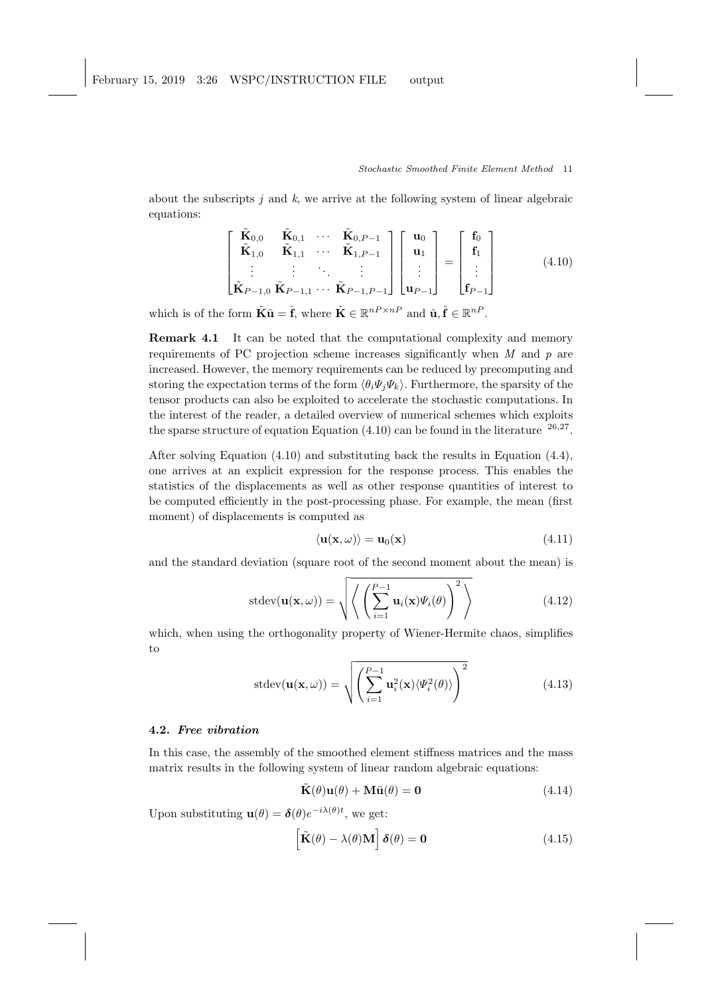about the subscripts j and  $k$ , we arrive at the following system of linear algebraic equations:

$$
\begin{bmatrix}\n\widetilde{\mathbf{K}}_{0,0} & \widetilde{\mathbf{K}}_{0,1} & \cdots & \widetilde{\mathbf{K}}_{0,P-1} \\
\widetilde{\mathbf{K}}_{1,0} & \widetilde{\mathbf{K}}_{1,1} & \cdots & \widetilde{\mathbf{K}}_{1,P-1} \\
\vdots & \vdots & \ddots & \vdots \\
\widetilde{\mathbf{K}}_{P-1,0} & \widetilde{\mathbf{K}}_{P-1,1} & \cdots & \widetilde{\mathbf{K}}_{P-1,P-1}\n\end{bmatrix}\n\begin{bmatrix}\n\mathbf{u}_0 \\
\mathbf{u}_1 \\
\vdots \\
\mathbf{u}_{P-1}\n\end{bmatrix} = \n\begin{bmatrix}\n\mathbf{f}_0 \\
\mathbf{f}_1 \\
\vdots \\
\mathbf{f}_{P-1}\n\end{bmatrix}
$$
\n(4.10)

which is of the form  $\tilde{\mathbf{K}}\hat{\mathbf{u}} = \hat{\mathbf{f}}$ , where  $\tilde{\mathbf{K}} \in \mathbb{R}^{nP \times nP}$  and  $\hat{\mathbf{u}}, \hat{\mathbf{f}} \in \mathbb{R}^{nP}$ .

Remark 4.1 It can be noted that the computational complexity and memory requirements of PC projection scheme increases significantly when  $M$  and  $p$  are increased. However, the memory requirements can be reduced by precomputing and storing the expectation terms of the form  $\langle \theta_i \Psi_i \Psi_k \rangle$ . Furthermore, the sparsity of the tensor products can also be exploited to accelerate the stochastic computations. In the interest of the reader, a detailed overview of numerical schemes which exploits the sparse structure of equation Equation  $(4.10)$  can be found in the literature  $26.27$ .

After solving Equation (4.10) and substituting back the results in Equation (4.4), one arrives at an explicit expression for the response process. This enables the statistics of the displacements as well as other response quantities of interest to be computed efficiently in the post-processing phase. For example, the mean (first moment) of displacements is computed as

$$
\langle \mathbf{u}(\mathbf{x}, \omega) \rangle = \mathbf{u}_0(\mathbf{x}) \tag{4.11}
$$

and the standard deviation (square root of the second moment about the mean) is

$$
stdev(\mathbf{u}(\mathbf{x},\omega)) = \sqrt{\left\langle \left( \sum_{i=1}^{P-1} \mathbf{u}_i(\mathbf{x}) \Psi_i(\theta) \right)^2 \right\rangle} \tag{4.12}
$$

which, when using the orthogonality property of Wiener-Hermite chaos, simplifies to

$$
stdev(\mathbf{u}(\mathbf{x},\omega)) = \sqrt{\left(\sum_{i=1}^{P-1} \mathbf{u}_i^2(\mathbf{x}) \langle \Psi_i^2(\theta) \rangle\right)^2}
$$
(4.13)

# 4.2. Free vibration

In this case, the assembly of the smoothed element stiffness matrices and the mass matrix results in the following system of linear random algebraic equations:

$$
\tilde{\mathbf{K}}(\theta)\mathbf{u}(\theta) + \mathbf{M}\ddot{\mathbf{u}}(\theta) = \mathbf{0}
$$
\n(4.14)

Upon substituting  $\mathbf{u}(\theta) = \delta(\theta) e^{-i\lambda(\theta)t}$ , we get:

$$
\left[\tilde{\mathbf{K}}(\theta) - \lambda(\theta)\mathbf{M}\right]\boldsymbol{\delta}(\theta) = \mathbf{0}
$$
\n(4.15)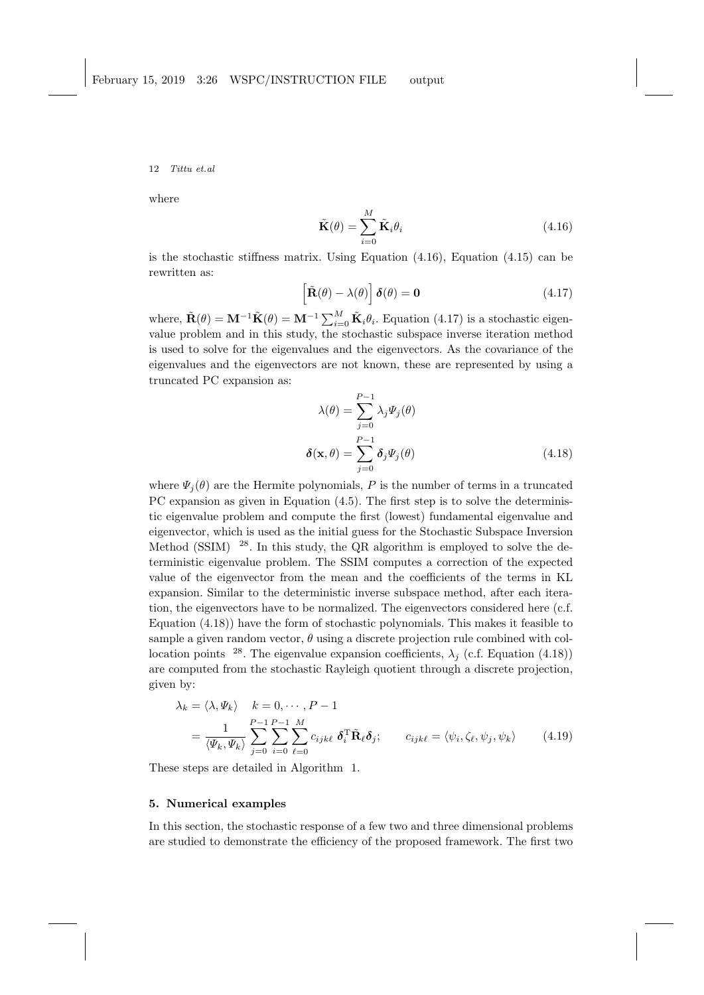where

$$
\tilde{\mathbf{K}}(\theta) = \sum_{i=0}^{M} \tilde{\mathbf{K}}_i \theta_i
$$
\n(4.16)

is the stochastic stiffness matrix. Using Equation  $(4.16)$ , Equation  $(4.15)$  can be rewritten as:

$$
\left[\tilde{\mathbf{R}}(\theta) - \lambda(\theta)\right] \boldsymbol{\delta}(\theta) = \mathbf{0}
$$
\n(4.17)

where,  $\tilde{\mathbf{R}}(\theta) = \mathbf{M}^{-1} \tilde{\mathbf{K}}(\theta) = \mathbf{M}^{-1} \sum_{i=0}^{M} \tilde{\mathbf{K}}_i \theta_i$ . Equation (4.17) is a stochastic eigenvalue problem and in this study, the stochastic subspace inverse iteration method is used to solve for the eigenvalues and the eigenvectors. As the covariance of the eigenvalues and the eigenvectors are not known, these are represented by using a truncated PC expansion as:

$$
\lambda(\theta) = \sum_{j=0}^{P-1} \lambda_j \Psi_j(\theta)
$$

$$
\delta(\mathbf{x}, \theta) = \sum_{j=0}^{P-1} \delta_j \Psi_j(\theta)
$$
(4.18)

where  $\Psi_i(\theta)$  are the Hermite polynomials, P is the number of terms in a truncated PC expansion as given in Equation (4.5). The first step is to solve the deterministic eigenvalue problem and compute the first (lowest) fundamental eigenvalue and eigenvector, which is used as the initial guess for the Stochastic Subspace Inversion Method (SSIM)  $^{28}$ . In this study, the QR algorithm is employed to solve the deterministic eigenvalue problem. The SSIM computes a correction of the expected value of the eigenvector from the mean and the coefficients of the terms in KL expansion. Similar to the deterministic inverse subspace method, after each iteration, the eigenvectors have to be normalized. The eigenvectors considered here (c.f. Equation (4.18)) have the form of stochastic polynomials. This makes it feasible to sample a given random vector,  $\theta$  using a discrete projection rule combined with collocation points <sup>28</sup>. The eigenvalue expansion coefficients,  $\lambda_i$  (c.f. Equation (4.18)) are computed from the stochastic Rayleigh quotient through a discrete projection, given by:

$$
\lambda_k = \langle \lambda, \Psi_k \rangle \quad k = 0, \cdots, P - 1
$$
\n
$$
= \frac{1}{\langle \Psi_k, \Psi_k \rangle} \sum_{j=0}^{P-1} \sum_{i=0}^{P-1} \sum_{\ell=0}^{M} c_{ijk\ell} \, \delta_i^{\mathrm{T}} \tilde{\mathbf{R}}_{\ell} \delta_j; \qquad c_{ijk\ell} = \langle \psi_i, \zeta_\ell, \psi_j, \psi_k \rangle \tag{4.19}
$$

These steps are detailed in Algorithm 1.

## 5. Numerical examples

In this section, the stochastic response of a few two and three dimensional problems are studied to demonstrate the efficiency of the proposed framework. The first two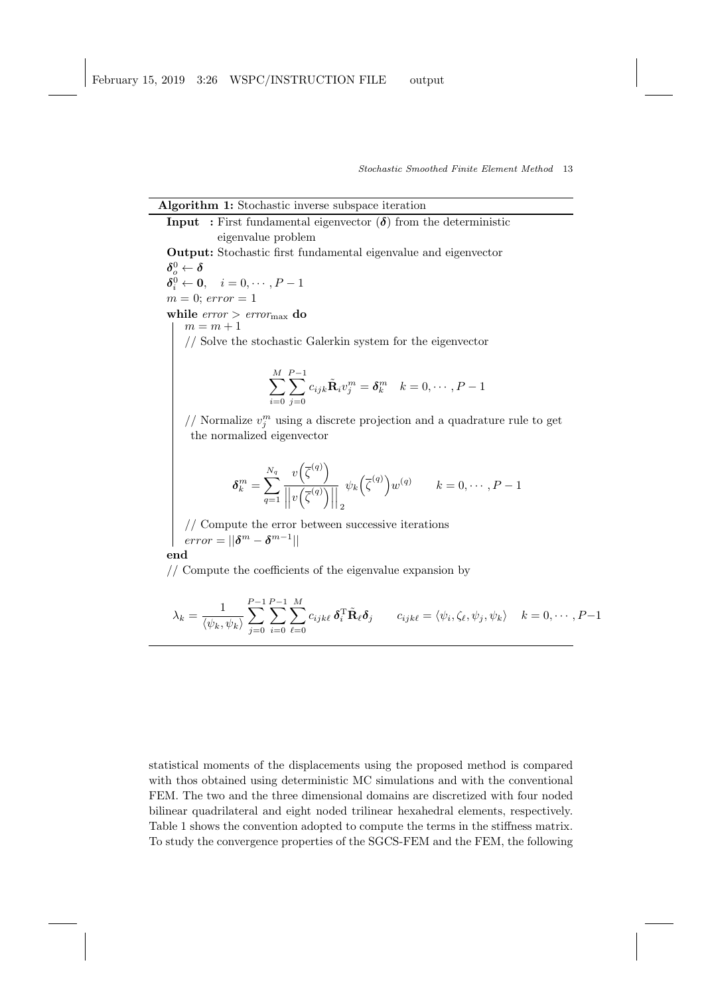| <b>Algorithm 1:</b> Stochastic inverse subspace iteration                                                                                                                         |
|-----------------------------------------------------------------------------------------------------------------------------------------------------------------------------------|
| <b>Input</b> : First fundamental eigenvector $(\delta)$ from the deterministic                                                                                                    |
| eigenvalue problem                                                                                                                                                                |
| <b>Output:</b> Stochastic first fundamental eigenvalue and eigenvector                                                                                                            |
| $\boldsymbol{\delta}^0_o \leftarrow \boldsymbol{\delta}$                                                                                                                          |
| $\delta_i^0 \leftarrow \mathbf{0}, \quad i = 0, \cdots, P-1$                                                                                                                      |
| $m = 0$ ; error = 1                                                                                                                                                               |
| while $error > error_{max}$ do                                                                                                                                                    |
| $m = m + 1$                                                                                                                                                                       |
| // Solve the stochastic Galerkin system for the eigenvector                                                                                                                       |
|                                                                                                                                                                                   |
| $M$ $P-1$<br>$\sum_{i=0} \sum_{j=0} c_{ijk} \tilde{\mathbf{R}}_i v_j^m = \boldsymbol{\delta}_k^m \quad k = 0, \cdots, P-1$                                                        |
| // Normalize $v_j^m$ using a discrete projection and a quadrature rule to get<br>the normalized eigenvector                                                                       |
| $\delta_k^m = \sum_{a=1}^{N_q} \frac{v(\overline{\zeta}^{(4)})}{\left \left v(\overline{\zeta}^{(q)})\right \right } \psi_k(\overline{\zeta}^{(q)}) w^{(q)}$ $k = 0, \cdots, P-1$ |
| // Compute the error between successive iterations<br>$error =   \boldsymbol{\delta}^m - \boldsymbol{\delta}^{m-1}  $                                                             |
| end                                                                                                                                                                               |
| // Compute the coefficients of the eigenvalue expansion by                                                                                                                        |

$$
\lambda_k = \frac{1}{\langle \psi_k, \psi_k \rangle} \sum_{j=0}^{P-1} \sum_{i=0}^{P-1} \sum_{\ell=0}^M c_{ijk\ell} \, \delta_i^{\mathrm{T}} \tilde{\mathbf{R}}_{\ell} \delta_j \qquad c_{ijk\ell} = \langle \psi_i, \zeta_\ell, \psi_j, \psi_k \rangle \quad k = 0, \cdots, P-1
$$

statistical moments of the displacements using the proposed method is compared with thos obtained using deterministic MC simulations and with the conventional FEM. The two and the three dimensional domains are discretized with four noded bilinear quadrilateral and eight noded trilinear hexahedral elements, respectively. Table 1 shows the convention adopted to compute the terms in the stiffness matrix. To study the convergence properties of the SGCS-FEM and the FEM, the following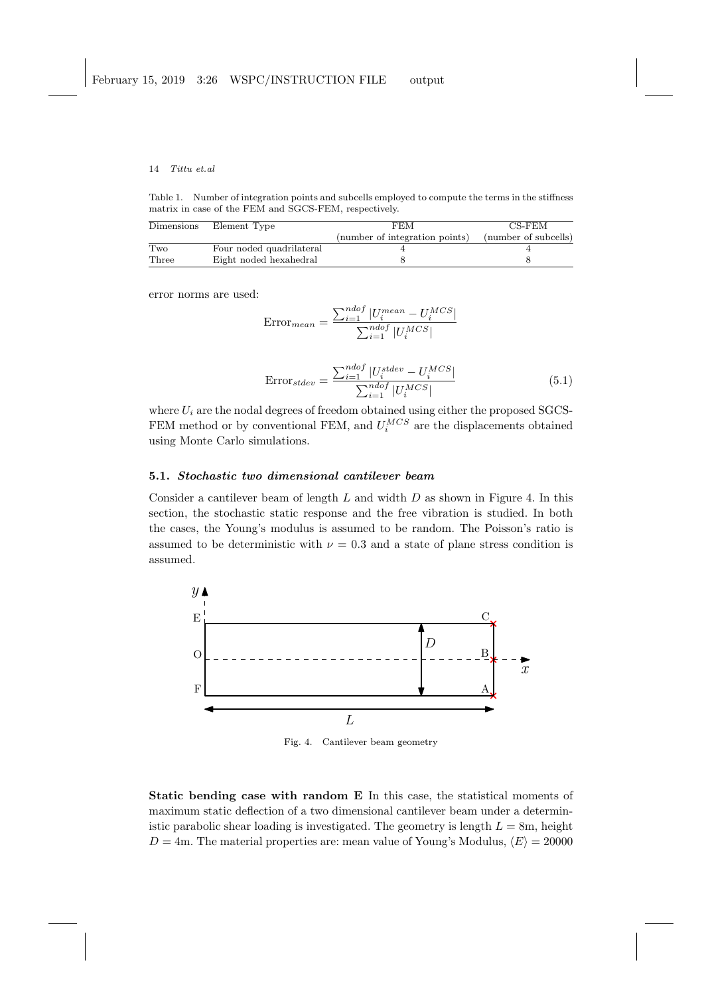Table 1. Number of integration points and subcells employed to compute the terms in the stiffness matrix in case of the FEM and SGCS-FEM, respectively.

| Dimensions | Element Type             | FEM                            | CS-FEM               |
|------------|--------------------------|--------------------------------|----------------------|
|            |                          | (number of integration points) | (number of subcells) |
| Two        | Four noded quadrilateral |                                |                      |
| Three      | Eight noded hexahedral   |                                |                      |

error norms are used:

$$
\text{Error}_{mean} = \frac{\sum_{i=1}^{ndof} |U_i^{mean} - U_i^{MCS}|}{\sum_{i=1}^{ndof} |U_i^{MCS}|}
$$

$$
Error_{stdev} = \frac{\sum_{i=1}^{ndof} |U_i^{stdev} - U_i^{MCS}|}{\sum_{i=1}^{ndof} |U_i^{MCS}|}
$$
(5.1)

where  $U_i$  are the nodal degrees of freedom obtained using either the proposed SGCS-FEM method or by conventional FEM, and  $U_i^{MCS}$  are the displacements obtained using Monte Carlo simulations.

# 5.1. Stochastic two dimensional cantilever beam

Consider a cantilever beam of length  $L$  and width  $D$  as shown in Figure 4. In this section, the stochastic static response and the free vibration is studied. In both the cases, the Young's modulus is assumed to be random. The Poisson's ratio is assumed to be deterministic with  $\nu = 0.3$  and a state of plane stress condition is assumed.



Fig. 4. Cantilever beam geometry

Static bending case with random E In this case, the statistical moments of maximum static deflection of a two dimensional cantilever beam under a deterministic parabolic shear loading is investigated. The geometry is length  $L = 8$ m, height  $D = 4$ m. The material properties are: mean value of Young's Modulus,  $\langle E \rangle = 20000$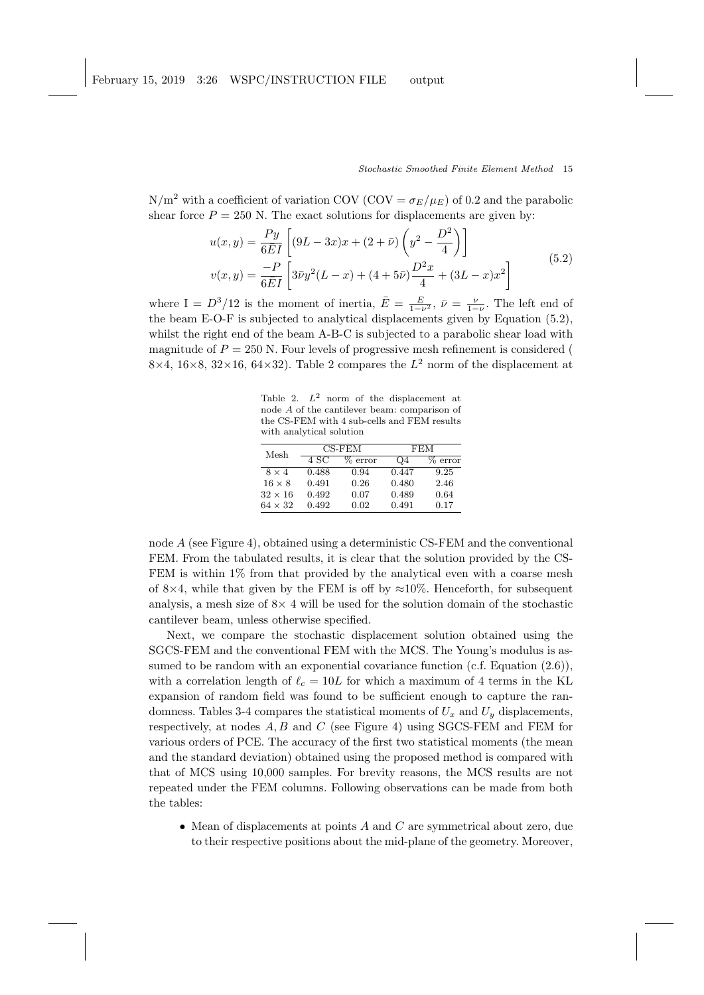N/m<sup>2</sup> with a coefficient of variation COV (COV =  $\sigma_E/\mu_E$ ) of 0.2 and the parabolic shear force  $P = 250$  N. The exact solutions for displacements are given by:

$$
u(x,y) = \frac{Py}{6\bar{E}I} \left[ (9L - 3x)x + (2+\bar{\nu}) \left( y^2 - \frac{D^2}{4} \right) \right]
$$
  

$$
v(x,y) = \frac{-P}{6\bar{E}I} \left[ 3\bar{\nu}y^2(L-x) + (4+5\bar{\nu}) \frac{D^2x}{4} + (3L-x)x^2 \right]
$$
 (5.2)

where I =  $D^3/12$  is the moment of inertia,  $\bar{E} = \frac{E}{1-\nu^2}$ ,  $\bar{\nu} = \frac{\nu}{1-\nu}$ . The left end of the beam E-O-F is subjected to analytical displacements given by Equation (5.2), whilst the right end of the beam A-B-C is subjected to a parabolic shear load with magnitude of  $P = 250$  N. Four levels of progressive mesh refinement is considered ( 8×4, 16×8, 32×16, 64×32). Table 2 compares the  $L^2$  norm of the displacement at

Table 2.  $L^2$  norm of the displacement at node A of the cantilever beam: comparison of the CS-FEM with 4 sub-cells and FEM results with analytical solution

| Mesh           | CS-FEM |       |                | FEM   |  |
|----------------|--------|-------|----------------|-------|--|
|                | 4 SC   | error | Q <sub>4</sub> | error |  |
| $8 \times 4$   | 0.488  | 0.94  | 0.447          | 9.25  |  |
| $16 \times 8$  | 0.491  | 0.26  | 0.480          | 2.46  |  |
| $32 \times 16$ | 0.492  | 0.07  | 0.489          | 0.64  |  |
| $64 \times 32$ | 0.492  | 0.02  | 0.491          | 0.17  |  |

node A (see Figure 4), obtained using a deterministic CS-FEM and the conventional FEM. From the tabulated results, it is clear that the solution provided by the CS-FEM is within  $1\%$  from that provided by the analytical even with a coarse mesh of 8×4, while that given by the FEM is off by  $\approx 10\%$ . Henceforth, for subsequent analysis, a mesh size of  $8\times 4$  will be used for the solution domain of the stochastic cantilever beam, unless otherwise specified.

Next, we compare the stochastic displacement solution obtained using the SGCS-FEM and the conventional FEM with the MCS. The Young's modulus is assumed to be random with an exponential covariance function  $(c.f. Equation (2.6)),$ with a correlation length of  $\ell_c = 10L$  for which a maximum of 4 terms in the KL expansion of random field was found to be sufficient enough to capture the randomness. Tables 3-4 compares the statistical moments of  $U_x$  and  $U_y$  displacements, respectively, at nodes  $A, B$  and  $C$  (see Figure 4) using SGCS-FEM and FEM for various orders of PCE. The accuracy of the first two statistical moments (the mean and the standard deviation) obtained using the proposed method is compared with that of MCS using 10,000 samples. For brevity reasons, the MCS results are not repeated under the FEM columns. Following observations can be made from both the tables:

• Mean of displacements at points  $A$  and  $C$  are symmetrical about zero, due to their respective positions about the mid-plane of the geometry. Moreover,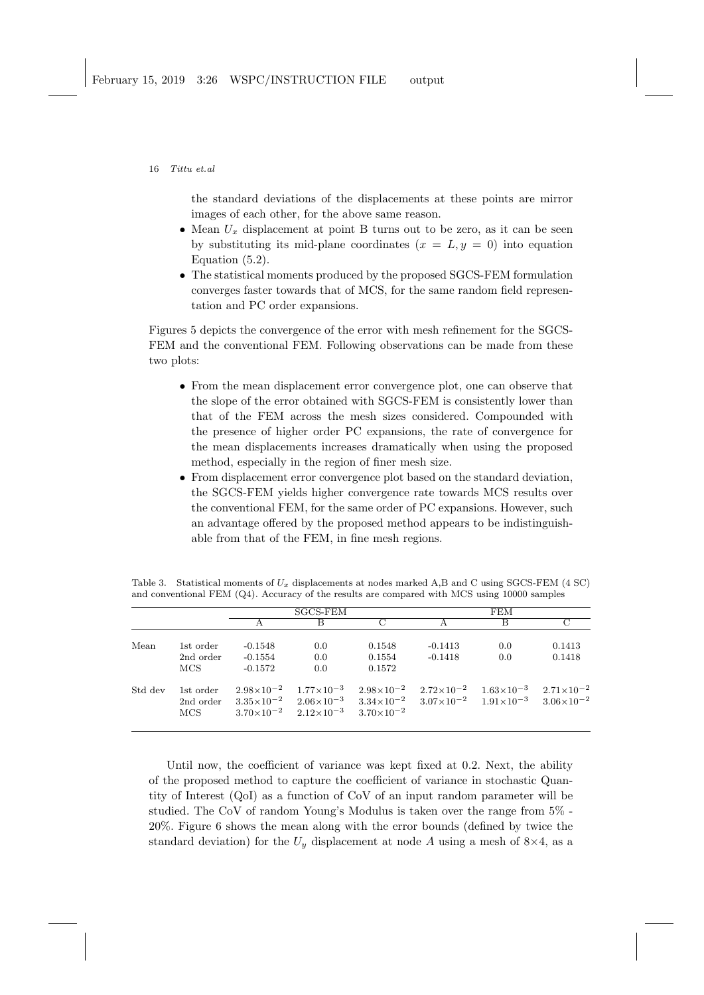the standard deviations of the displacements at these points are mirror images of each other, for the above same reason.

- Mean  $U_x$  displacement at point B turns out to be zero, as it can be seen by substituting its mid-plane coordinates  $(x = L, y = 0)$  into equation Equation (5.2).
- The statistical moments produced by the proposed SGCS-FEM formulation converges faster towards that of MCS, for the same random field representation and PC order expansions.

Figures 5 depicts the convergence of the error with mesh refinement for the SGCS-FEM and the conventional FEM. Following observations can be made from these two plots:

- From the mean displacement error convergence plot, one can observe that the slope of the error obtained with SGCS-FEM is consistently lower than that of the FEM across the mesh sizes considered. Compounded with the presence of higher order PC expansions, the rate of convergence for the mean displacements increases dramatically when using the proposed method, especially in the region of finer mesh size.
- From displacement error convergence plot based on the standard deviation, the SGCS-FEM yields higher convergence rate towards MCS results over the conventional FEM, for the same order of PC expansions. However, such an advantage offered by the proposed method appears to be indistinguishable from that of the FEM, in fine mesh regions.

| Table 3. Statistical moments of $U_x$ displacements at nodes marked A,B and C using SGCS-FEM (4 SC) |  |
|-----------------------------------------------------------------------------------------------------|--|
| and conventional FEM (Q4). Accuracy of the results are compared with MCS using 10000 samples        |  |

|         |                                | SGCS-FEM                            |                                                                                    | <b>FEM</b>                                                                                                                                                 |                                                                                         |            |                  |
|---------|--------------------------------|-------------------------------------|------------------------------------------------------------------------------------|------------------------------------------------------------------------------------------------------------------------------------------------------------|-----------------------------------------------------------------------------------------|------------|------------------|
|         |                                |                                     | В                                                                                  | C                                                                                                                                                          | А                                                                                       | В          |                  |
| Mean    | 1st order<br>2nd order<br>MCS. | $-0.1548$<br>$-0.1554$<br>$-0.1572$ | 0.0<br>0.0<br>0.0                                                                  | 0.1548<br>0.1554<br>0.1572                                                                                                                                 | $-0.1413$<br>$-0.1418$                                                                  | 0.0<br>0.0 | 0.1413<br>0.1418 |
| Std dev | 1st order<br>2nd order<br>MCS  |                                     | $2.98\times10^{-2}$ $1.77\times10^{-3}$<br>$3.70\times10^{-2}$ $2.12\times10^{-3}$ | $3.35 \times 10^{-2}$ $2.06 \times 10^{-3}$ $3.34 \times 10^{-2}$ $3.07 \times 10^{-2}$ $1.91 \times 10^{-3}$ $3.06 \times 10^{-2}$<br>$3.70\times10^{-2}$ | $2.98 \times 10^{-2}$ $2.72 \times 10^{-2}$ $1.63 \times 10^{-3}$ $2.71 \times 10^{-2}$ |            |                  |

Until now, the coefficient of variance was kept fixed at 0.2. Next, the ability of the proposed method to capture the coefficient of variance in stochastic Quantity of Interest (QoI) as a function of CoV of an input random parameter will be studied. The CoV of random Young's Modulus is taken over the range from 5% - 20%. Figure 6 shows the mean along with the error bounds (defined by twice the standard deviation) for the  $U_y$  displacement at node A using a mesh of  $8\times4$ , as a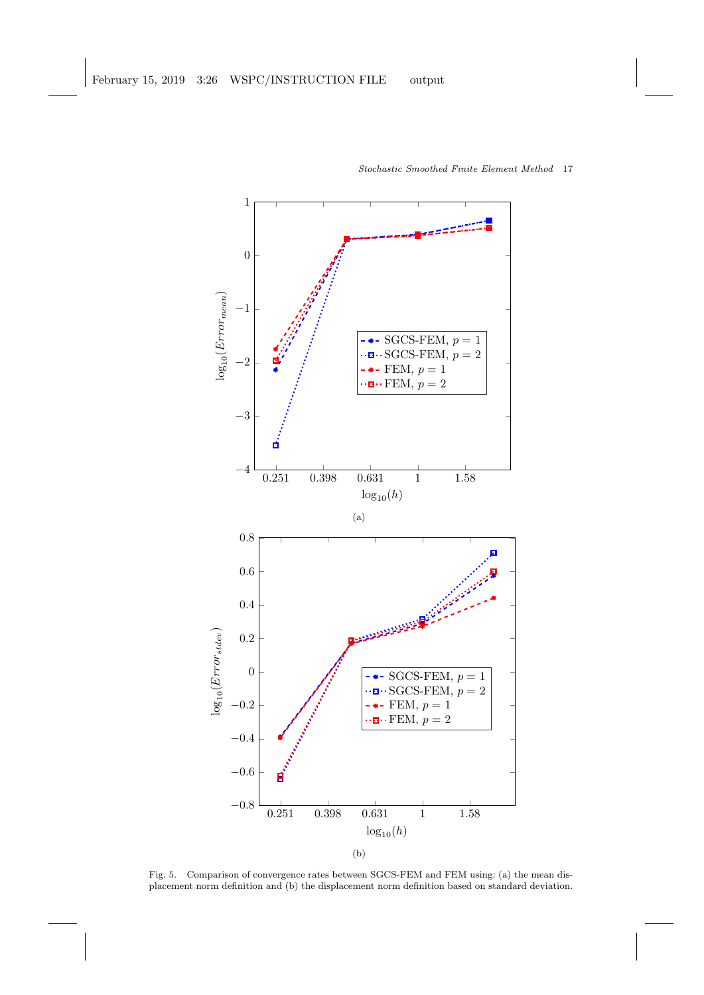

Fig. 5. Comparison of convergence rates between SGCS-FEM and FEM using: (a) the mean displacement norm definition and (b) the displacement norm definition based on standard deviation.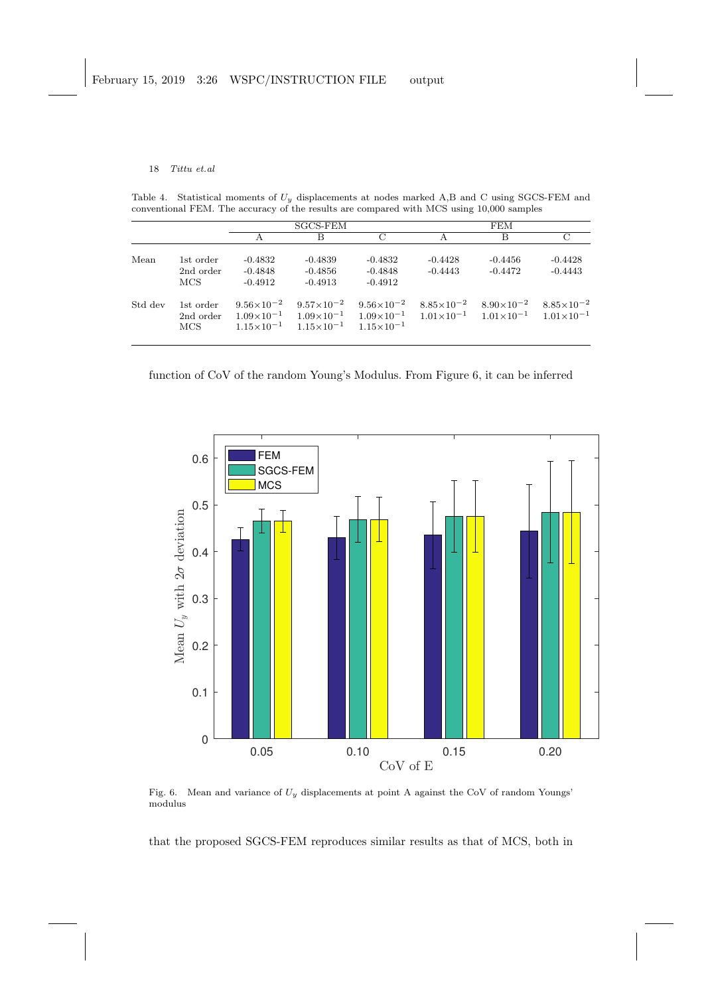Table 4. Statistical moments of  $U_y$  displacements at nodes marked A,B and C using SGCS-FEM and conventional FEM. The accuracy of the results are compared with MCS using 10,000 samples

|         |                                |                                     | SGCS-FEM                                                             |                                                                                                                                                                         | <b>FEM</b>             |                                             |                        |
|---------|--------------------------------|-------------------------------------|----------------------------------------------------------------------|-------------------------------------------------------------------------------------------------------------------------------------------------------------------------|------------------------|---------------------------------------------|------------------------|
|         |                                |                                     | B                                                                    | $\mathcal{C}$                                                                                                                                                           | А                      | B                                           | С                      |
| Mean    | 1st order<br>2nd order<br>MCS. | $-0.4832$<br>$-0.4848$<br>$-0.4912$ | $-0.4839$<br>$-0.4856$<br>$-0.4913$                                  | $-0.4832$<br>$-0.4848$<br>$-0.4912$                                                                                                                                     | $-0.4428$<br>$-0.4443$ | $-0.4456$<br>$-0.4472$                      | $-0.4428$<br>$-0.4443$ |
| Std dev | 1st order<br>2nd order<br>MCS. | $9.56\times10^{-2}$                 | $9.57 \times 10^{-2}$<br>$1.15 \times 10^{-1}$ $1.15 \times 10^{-1}$ | $9.56\times10^{-2}$<br>$1.09\times10^{-1}$ $1.09\times10^{-1}$ $1.09\times10^{-1}$ $1.01\times10^{-1}$ $1.01\times10^{-1}$ $1.01\times10^{-1}$<br>$1.15 \times 10^{-1}$ |                        | $8.85 \times 10^{-2}$ $8.90 \times 10^{-2}$ | $8.85 \times 10^{-2}$  |





Fig. 6. Mean and variance of  $U_y$  displacements at point A against the CoV of random Youngs' modulus

that the proposed SGCS-FEM reproduces similar results as that of MCS, both in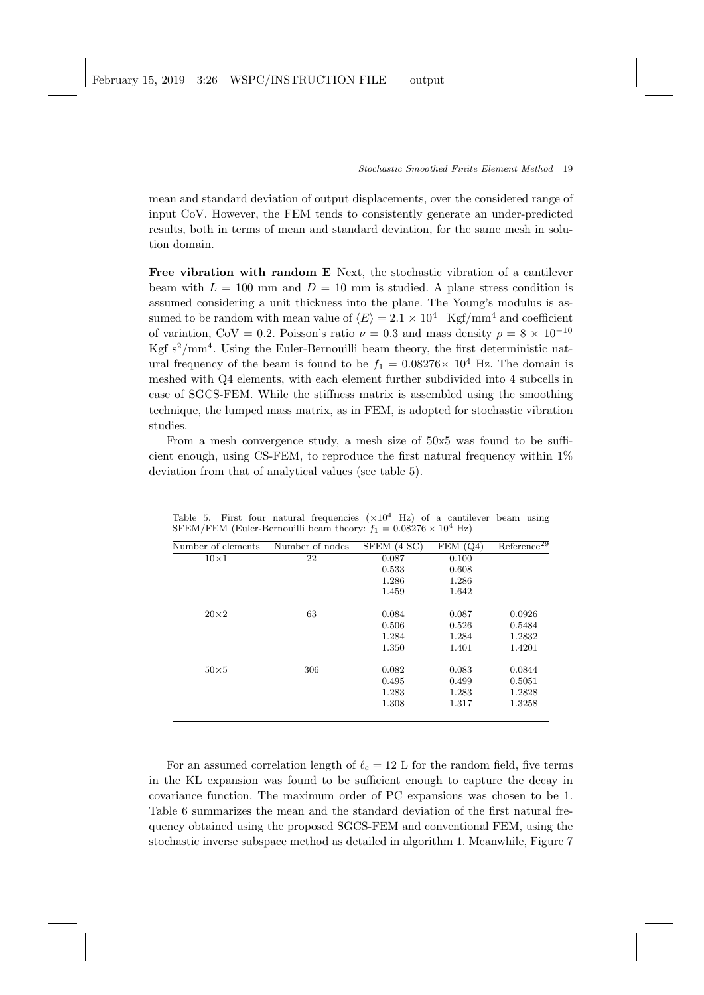mean and standard deviation of output displacements, over the considered range of input CoV. However, the FEM tends to consistently generate an under-predicted results, both in terms of mean and standard deviation, for the same mesh in solution domain.

Free vibration with random E Next, the stochastic vibration of a cantilever beam with  $L = 100$  mm and  $D = 10$  mm is studied. A plane stress condition is assumed considering a unit thickness into the plane. The Young's modulus is assumed to be random with mean value of  $\langle E \rangle = 2.1 \times 10^4$  Kgf/mm<sup>4</sup> and coefficient of variation, CoV = 0.2. Poisson's ratio  $\nu = 0.3$  and mass density  $\rho = 8 \times 10^{-10}$ Kgf  $s^2/\text{mm}^4$ . Using the Euler-Bernouilli beam theory, the first deterministic natural frequency of the beam is found to be  $f_1 = 0.08276 \times 10^4$  Hz. The domain is meshed with Q4 elements, with each element further subdivided into 4 subcells in case of SGCS-FEM. While the stiffness matrix is assembled using the smoothing technique, the lumped mass matrix, as in FEM, is adopted for stochastic vibration studies.

From a mesh convergence study, a mesh size of 50x5 was found to be sufficient enough, using CS-FEM, to reproduce the first natural frequency within 1% deviation from that of analytical values (see table 5).

| Number of elements | Number of nodes | SFEM (4 SC) | FEM(Q4) | Reference <sup>29</sup> |
|--------------------|-----------------|-------------|---------|-------------------------|
| $10\times1$        | 22              | 0.087       | 0.100   |                         |
|                    |                 | 0.533       | 0.608   |                         |
|                    |                 | 1.286       | 1.286   |                         |
|                    |                 | 1.459       | 1.642   |                         |
| $20\times2$        | 63              | 0.084       | 0.087   | 0.0926                  |
|                    |                 | 0.506       | 0.526   | 0.5484                  |
|                    |                 | 1.284       | 1.284   | 1.2832                  |
|                    |                 | 1.350       | 1.401   | 1.4201                  |
| $50\times5$        | 306             | 0.082       | 0.083   | 0.0844                  |
|                    |                 | 0.495       | 0.499   | 0.5051                  |
|                    |                 | 1.283       | 1.283   | 1.2828                  |
|                    |                 | 1.308       | 1.317   | 1.3258                  |
|                    |                 |             |         |                         |

Table 5. First four natural frequencies  $(\times 10^4$  Hz) of a cantilever beam using SFEM/FEM (Euler-Bernouilli beam theory:  $f_1 = 0.08276 \times 10^4$  Hz)

For an assumed correlation length of  $\ell_c = 12$  L for the random field, five terms in the KL expansion was found to be sufficient enough to capture the decay in covariance function. The maximum order of PC expansions was chosen to be 1. Table 6 summarizes the mean and the standard deviation of the first natural frequency obtained using the proposed SGCS-FEM and conventional FEM, using the stochastic inverse subspace method as detailed in algorithm 1. Meanwhile, Figure 7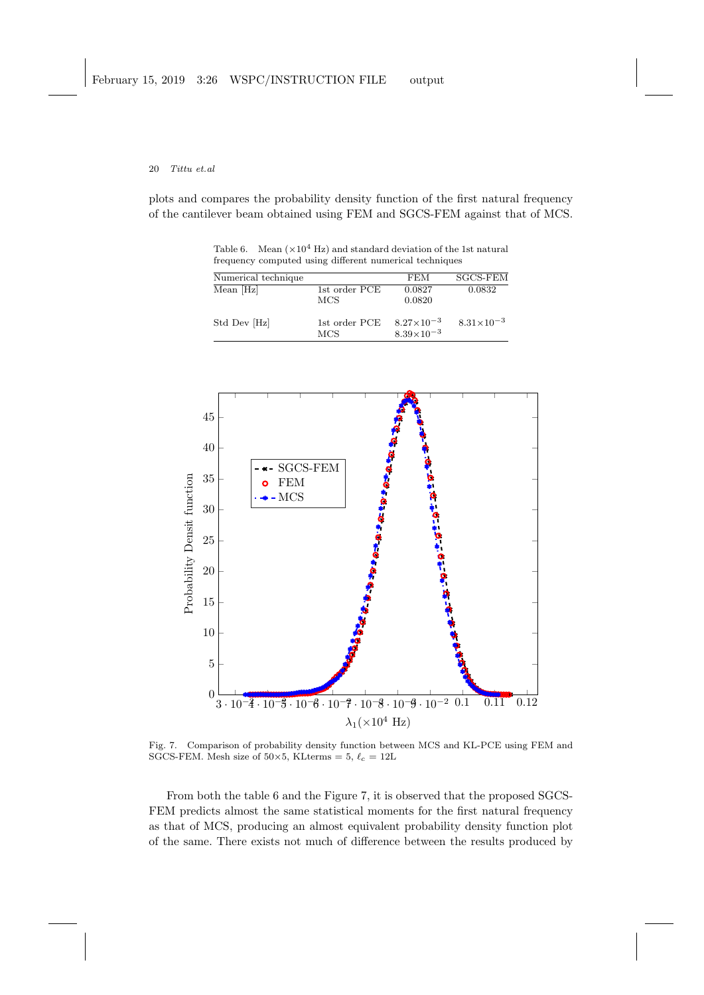plots and compares the probability density function of the first natural frequency of the cantilever beam obtained using FEM and SGCS-FEM against that of MCS.

Table 6. Mean  $(\times 10^4 \text{ Hz})$  and standard deviation of the 1st natural frequency computed using different numerical techniques

| Numerical technique |                      | FEM                                          | <b>SGCS-FEM</b>       |
|---------------------|----------------------|----------------------------------------------|-----------------------|
| Mean [Hz]           | 1st order PCE<br>MCS | 0.0827<br>0.0820                             | 0.0832                |
| Std Dev [Hz]        | 1st order PCE<br>MCS | $8.27 \times 10^{-3}$<br>$8.39\times10^{-3}$ | $8.31 \times 10^{-3}$ |



Fig. 7. Comparison of probability density function between MCS and KL-PCE using FEM and SGCS-FEM. Mesh size of  $50\times5$ , KLterms = 5,  $\ell_c = 12L$ 

From both the table 6 and the Figure 7, it is observed that the proposed SGCS-FEM predicts almost the same statistical moments for the first natural frequency as that of MCS, producing an almost equivalent probability density function plot of the same. There exists not much of difference between the results produced by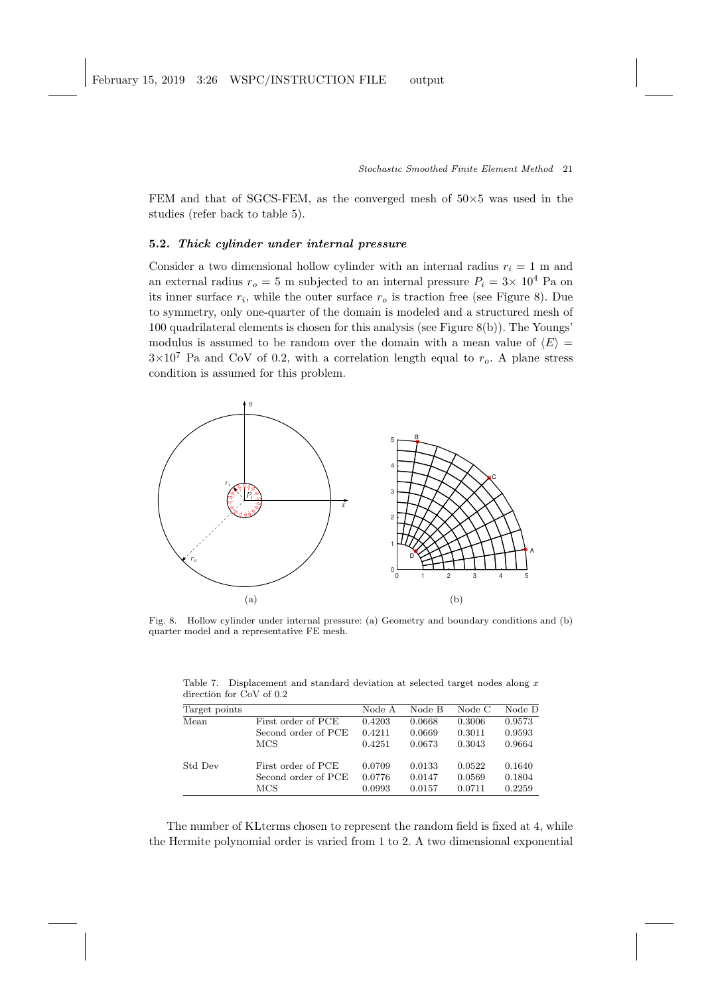FEM and that of SGCS-FEM, as the converged mesh of  $50\times5$  was used in the studies (refer back to table 5).

## 5.2. Thick cylinder under internal pressure

Consider a two dimensional hollow cylinder with an internal radius  $r_i = 1$  m and an external radius  $r_o = 5$  m subjected to an internal pressure  $P_i = 3 \times 10^4$  Pa on its inner surface  $r_i$ , while the outer surface  $r_o$  is traction free (see Figure 8). Due to symmetry, only one-quarter of the domain is modeled and a structured mesh of 100 quadrilateral elements is chosen for this analysis (see Figure 8(b)). The Youngs' modulus is assumed to be random over the domain with a mean value of  $\langle E \rangle =$  $3\times10^7$  Pa and CoV of 0.2, with a correlation length equal to  $r_o$ . A plane stress condition is assumed for this problem.



Fig. 8. Hollow cylinder under internal pressure: (a) Geometry and boundary conditions and (b) quarter model and a representative FE mesh.

| Target points |                     | Node A | Node B | Node C | Node D |
|---------------|---------------------|--------|--------|--------|--------|
| Mean          | First order of PCE  | 0.4203 | 0.0668 | 0.3006 | 0.9573 |
|               | Second order of PCE | 0.4211 | 0.0669 | 0.3011 | 0.9593 |
|               | <b>MCS</b>          | 0.4251 | 0.0673 | 0.3043 | 0.9664 |
| Std Dev       | First order of PCE  | 0.0709 | 0.0133 | 0.0522 | 0.1640 |

Second order of PCE 0.0776 0.0147 0.0569 0.1804 MCS 0.0993 0.0157 0.0711 0.2259

Table 7. Displacement and standard deviation at selected target nodes along  $x$ direction for CoV of 0.2

The number of KLterms chosen to represent the random field is fixed at 4, while the Hermite polynomial order is varied from 1 to 2. A two dimensional exponential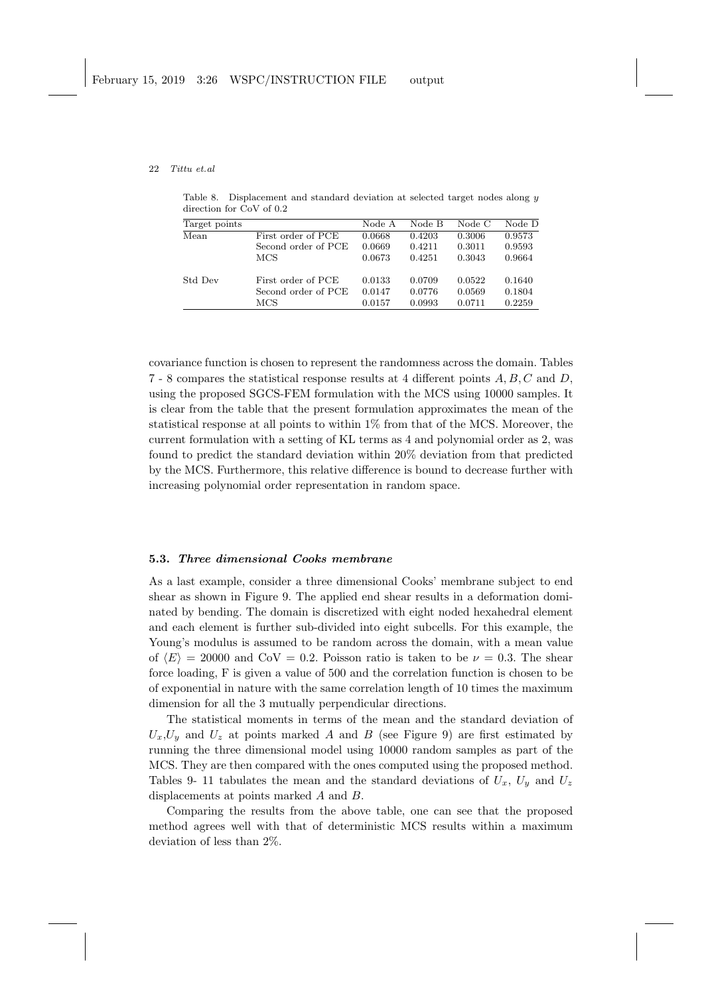Table 8. Displacement and standard deviation at selected target nodes along y direction for CoV of 0.2

| Target points |                     | Node A | Node B | Node C | Node D |
|---------------|---------------------|--------|--------|--------|--------|
| Mean          | First order of PCE  | 0.0668 | 0.4203 | 0.3006 | 0.9573 |
|               | Second order of PCE | 0.0669 | 0.4211 | 0.3011 | 0.9593 |
|               | MCS                 | 0.0673 | 0.4251 | 0.3043 | 0.9664 |
| Std Dev       | First order of PCE  | 0.0133 | 0.0709 | 0.0522 | 0.1640 |
|               | Second order of PCE | 0.0147 | 0.0776 | 0.0569 | 0.1804 |
|               | MCS                 | 0.0157 | 0.0993 | 0.0711 | 0.2259 |

covariance function is chosen to represent the randomness across the domain. Tables 7 - 8 compares the statistical response results at 4 different points A, B, C and D, using the proposed SGCS-FEM formulation with the MCS using 10000 samples. It is clear from the table that the present formulation approximates the mean of the statistical response at all points to within 1% from that of the MCS. Moreover, the current formulation with a setting of KL terms as 4 and polynomial order as 2, was found to predict the standard deviation within 20% deviation from that predicted by the MCS. Furthermore, this relative difference is bound to decrease further with increasing polynomial order representation in random space.

## 5.3. Three dimensional Cooks membrane

As a last example, consider a three dimensional Cooks' membrane subject to end shear as shown in Figure 9. The applied end shear results in a deformation dominated by bending. The domain is discretized with eight noded hexahedral element and each element is further sub-divided into eight subcells. For this example, the Young's modulus is assumed to be random across the domain, with a mean value of  $\langle E \rangle = 20000$  and CoV = 0.2. Poisson ratio is taken to be  $\nu = 0.3$ . The shear force loading, F is given a value of 500 and the correlation function is chosen to be of exponential in nature with the same correlation length of 10 times the maximum dimension for all the 3 mutually perpendicular directions.

The statistical moments in terms of the mean and the standard deviation of  $U_x, U_y$  and  $U_z$  at points marked A and B (see Figure 9) are first estimated by running the three dimensional model using 10000 random samples as part of the MCS. They are then compared with the ones computed using the proposed method. Tables 9- 11 tabulates the mean and the standard deviations of  $U_x$ ,  $U_y$  and  $U_z$ displacements at points marked A and B.

Comparing the results from the above table, one can see that the proposed method agrees well with that of deterministic MCS results within a maximum deviation of less than 2%.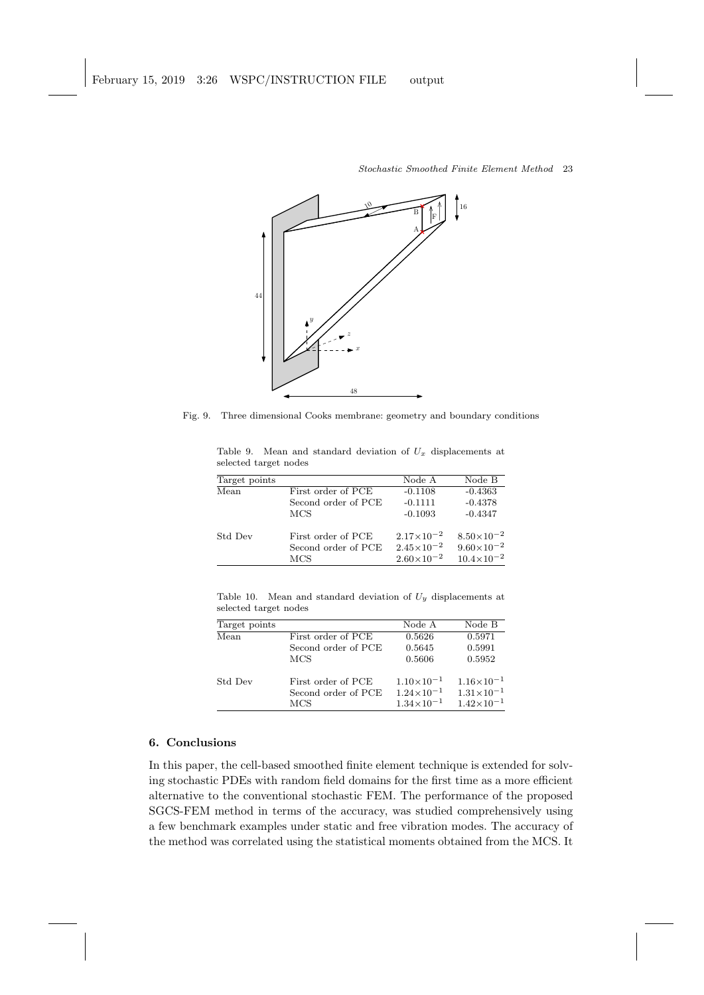

Fig. 9. Three dimensional Cooks membrane: geometry and boundary conditions

| $\frac{1}{2}$ |                     |                       |                     |
|---------------|---------------------|-----------------------|---------------------|
| Target points |                     | Node A                | Node B              |
| Mean          | First order of PCE  | $-0.1108$             | $-0.4363$           |
|               | Second order of PCE | $-0.1111$             | $-0.4378$           |
|               | <b>MCS</b>          | $-0.1093$             | $-0.4347$           |
| Std Dev       | First order of PCE  | $2.17\times10^{-2}$   | $8.50\times10^{-2}$ |
|               | Second order of PCE | $2.45 \times 10^{-2}$ | $9.60\times10^{-2}$ |
|               | MCS                 | $2.60\times10^{-2}$   | $10.4\times10^{-2}$ |

Table 9. Mean and standard deviation of  $U_x$  displacements at selected target nodes

Table 10. Mean and standard deviation of  $U_y$  displacements at selected target nodes

| Target points |                     | Node A              | Node B                |
|---------------|---------------------|---------------------|-----------------------|
| Mean          | First order of PCE  | 0.5626              | 0.5971                |
|               | Second order of PCE | 0.5645              | 0.5991                |
|               | MCS                 | 0.5606              | 0.5952                |
| Std Dev       | First order of PCE  | $1.10\times10^{-1}$ | $1.16\times10^{-1}$   |
|               | Second order of PCE | $1.24\times10^{-1}$ | $1.31 \times 10^{-1}$ |
|               | MCS                 | $1.34\times10^{-1}$ | $1.42\times10^{-1}$   |

# 6. Conclusions

In this paper, the cell-based smoothed finite element technique is extended for solving stochastic PDEs with random field domains for the first time as a more efficient alternative to the conventional stochastic FEM. The performance of the proposed SGCS-FEM method in terms of the accuracy, was studied comprehensively using a few benchmark examples under static and free vibration modes. The accuracy of the method was correlated using the statistical moments obtained from the MCS. It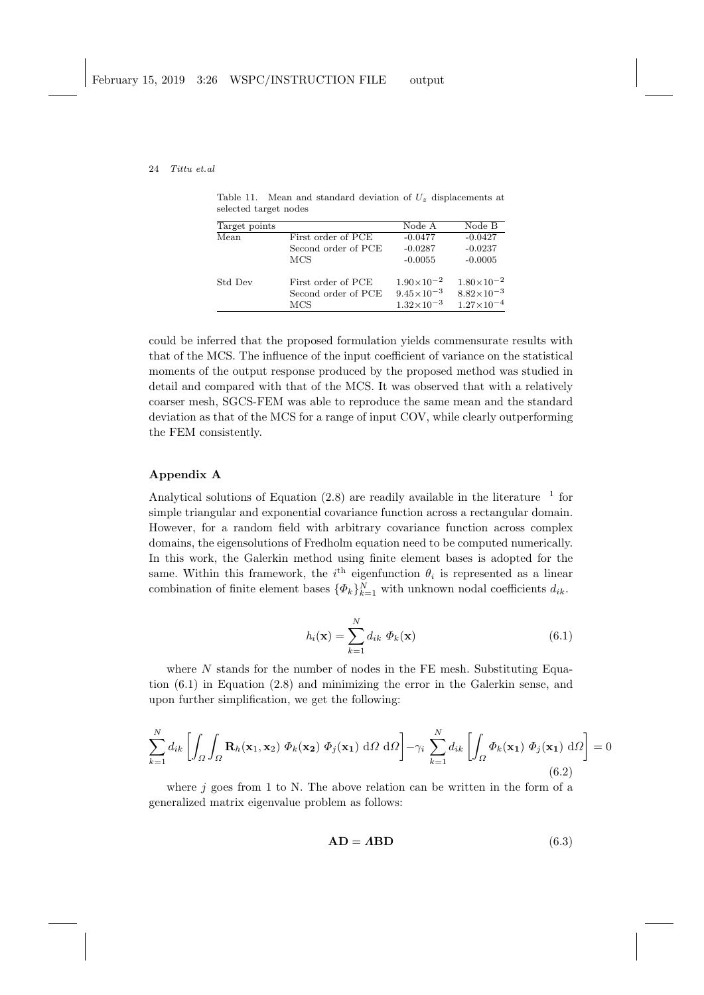Table 11. Mean and standard deviation of  $U_z$  displacements at selected target nodes

| Target points |                     | Node A                | Node B                |
|---------------|---------------------|-----------------------|-----------------------|
| Mean          | First order of PCE  | $-0.0477$             | $-0.0427$             |
|               | Second order of PCE | $-0.0287$             | $-0.0237$             |
|               | MCS                 | $-0.0055$             | $-0.0005$             |
| Std Dev       | First order of PCE  | $1.90\times10^{-2}$   | $1.80\times10^{-2}$   |
|               | Second order of PCE | $9.45 \times 10^{-3}$ | $8.82\times10^{-3}$   |
|               | MCS                 | $1.32\times10^{-3}$   | $1.27{\times}10^{-4}$ |

could be inferred that the proposed formulation yields commensurate results with that of the MCS. The influence of the input coefficient of variance on the statistical moments of the output response produced by the proposed method was studied in detail and compared with that of the MCS. It was observed that with a relatively coarser mesh, SGCS-FEM was able to reproduce the same mean and the standard deviation as that of the MCS for a range of input COV, while clearly outperforming the FEM consistently.

# Appendix A

Analytical solutions of Equation  $(2.8)$  are readily available in the literature  $^{-1}$  for simple triangular and exponential covariance function across a rectangular domain. However, for a random field with arbitrary covariance function across complex domains, the eigensolutions of Fredholm equation need to be computed numerically. In this work, the Galerkin method using finite element bases is adopted for the same. Within this framework, the  $i<sup>th</sup>$  eigenfunction  $\theta_i$  is represented as a linear combination of finite element bases  $\{\Phi_k\}_{k=1}^N$  with unknown nodal coefficients  $d_{ik}$ .

$$
h_i(\mathbf{x}) = \sum_{k=1}^{N} d_{ik} \Phi_k(\mathbf{x})
$$
\n(6.1)

where  $N$  stands for the number of nodes in the FE mesh. Substituting Equation (6.1) in Equation (2.8) and minimizing the error in the Galerkin sense, and upon further simplification, we get the following:

$$
\sum_{k=1}^{N} d_{ik} \left[ \int_{\Omega} \int_{\Omega} \mathbf{R}_{h}(\mathbf{x}_{1}, \mathbf{x}_{2}) \boldsymbol{\Phi}_{k}(\mathbf{x}_{2}) \boldsymbol{\Phi}_{j}(\mathbf{x}_{1}) \, d\Omega \, d\Omega \right] - \gamma_{i} \sum_{k=1}^{N} d_{ik} \left[ \int_{\Omega} \boldsymbol{\Phi}_{k}(\mathbf{x}_{1}) \boldsymbol{\Phi}_{j}(\mathbf{x}_{1}) \, d\Omega \right] = 0
$$
\n(6.2)

where  $j$  goes from 1 to N. The above relation can be written in the form of a generalized matrix eigenvalue problem as follows:

$$
AD = ABD \tag{6.3}
$$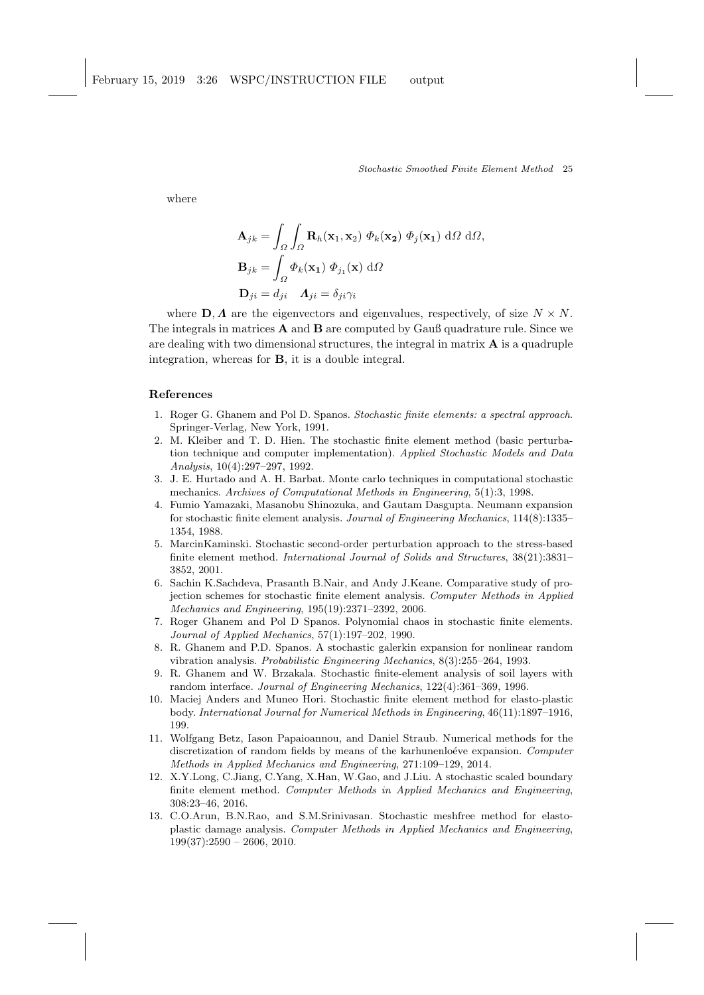where

$$
\mathbf{A}_{jk} = \int_{\Omega} \int_{\Omega} \mathbf{R}_{h}(\mathbf{x}_{1}, \mathbf{x}_{2}) \boldsymbol{\Phi}_{k}(\mathbf{x}_{2}) \boldsymbol{\Phi}_{j}(\mathbf{x}_{1}) d\Omega d\Omega,
$$
  

$$
\mathbf{B}_{jk} = \int_{\Omega} \boldsymbol{\Phi}_{k}(\mathbf{x}_{1}) \boldsymbol{\Phi}_{j_{1}}(\mathbf{x}) d\Omega
$$
  

$$
\mathbf{D}_{ji} = d_{ji} \quad \mathbf{A}_{ji} = \delta_{ji} \gamma_{i}
$$

where  $\mathbf{D}, \mathbf{\Lambda}$  are the eigenvectors and eigenvalues, respectively, of size  $N \times N$ . The integrals in matrices A and B are computed by Gauß quadrature rule. Since we are dealing with two dimensional structures, the integral in matrix  $\bf{A}$  is a quadruple integration, whereas for B, it is a double integral.

## References

- 1. Roger G. Ghanem and Pol D. Spanos. Stochastic finite elements: a spectral approach. Springer-Verlag, New York, 1991.
- 2. M. Kleiber and T. D. Hien. The stochastic finite element method (basic perturbation technique and computer implementation). Applied Stochastic Models and Data Analysis, 10(4):297–297, 1992.
- 3. J. E. Hurtado and A. H. Barbat. Monte carlo techniques in computational stochastic mechanics. Archives of Computational Methods in Engineering, 5(1):3, 1998.
- 4. Fumio Yamazaki, Masanobu Shinozuka, and Gautam Dasgupta. Neumann expansion for stochastic finite element analysis. Journal of Engineering Mechanics, 114(8):1335– 1354, 1988.
- 5. MarcinKaminski. Stochastic second-order perturbation approach to the stress-based finite element method. International Journal of Solids and Structures, 38(21):3831– 3852, 2001.
- 6. Sachin K.Sachdeva, Prasanth B.Nair, and Andy J.Keane. Comparative study of projection schemes for stochastic finite element analysis. Computer Methods in Applied Mechanics and Engineering, 195(19):2371–2392, 2006.
- 7. Roger Ghanem and Pol D Spanos. Polynomial chaos in stochastic finite elements. Journal of Applied Mechanics, 57(1):197–202, 1990.
- 8. R. Ghanem and P.D. Spanos. A stochastic galerkin expansion for nonlinear random vibration analysis. Probabilistic Engineering Mechanics, 8(3):255–264, 1993.
- 9. R. Ghanem and W. Brzakala. Stochastic finite-element analysis of soil layers with random interface. Journal of Engineering Mechanics, 122(4):361–369, 1996.
- 10. Maciej Anders and Muneo Hori. Stochastic finite element method for elasto-plastic body. International Journal for Numerical Methods in Engineering, 46(11):1897–1916, 199.
- 11. Wolfgang Betz, Iason Papaioannou, and Daniel Straub. Numerical methods for the discretization of random fields by means of the karhunenlo ever expansion. Computer Methods in Applied Mechanics and Engineering, 271:109–129, 2014.
- 12. X.Y.Long, C.Jiang, C.Yang, X.Han, W.Gao, and J.Liu. A stochastic scaled boundary finite element method. Computer Methods in Applied Mechanics and Engineering, 308:23–46, 2016.
- 13. C.O.Arun, B.N.Rao, and S.M.Srinivasan. Stochastic meshfree method for elastoplastic damage analysis. Computer Methods in Applied Mechanics and Engineering,  $199(37):2590 - 2606, 2010.$